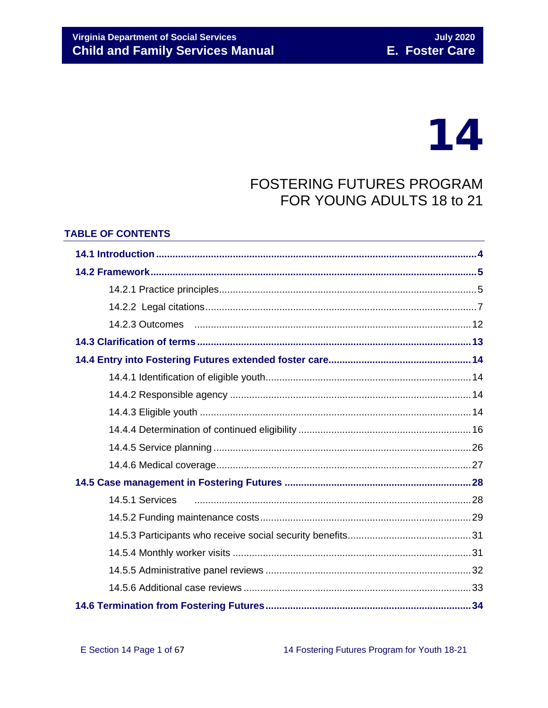## **Virginia Department of Social Services Child and Family Services Manual**

# 14

## **FOSTERING FUTURES PROGRAM** FOR YOUNG ADULTS 18 to 21

#### **TABLE OF CONTENTS**

| 14.2.3 Outcomes manual members of the control of the control of the control of the control of the control of t |  |
|----------------------------------------------------------------------------------------------------------------|--|
|                                                                                                                |  |
|                                                                                                                |  |
|                                                                                                                |  |
|                                                                                                                |  |
|                                                                                                                |  |
|                                                                                                                |  |
|                                                                                                                |  |
|                                                                                                                |  |
|                                                                                                                |  |
| 14.5.1 Services                                                                                                |  |
|                                                                                                                |  |
|                                                                                                                |  |
|                                                                                                                |  |
|                                                                                                                |  |
|                                                                                                                |  |
|                                                                                                                |  |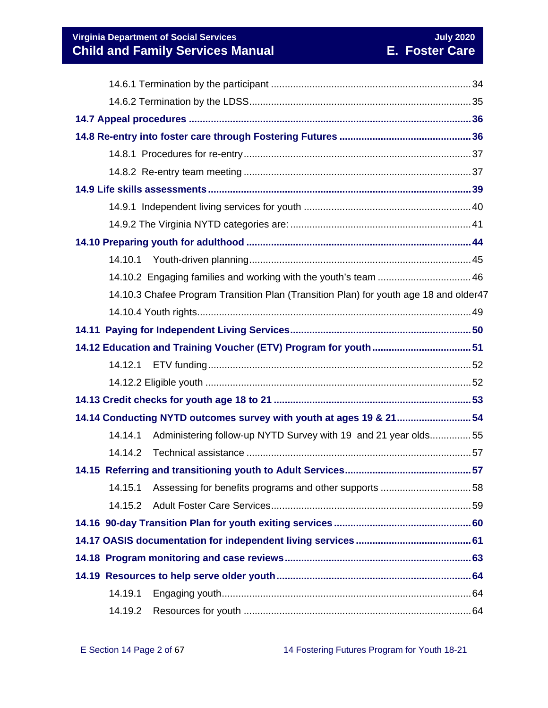**Virginia Department of Social Services**<br> **Child and Family Services Manual Child and Family Services Manual E. Foster Care Child and Family Services Manual** 

| 14.10.1 |                                                                                       |  |  |  |
|---------|---------------------------------------------------------------------------------------|--|--|--|
|         | 14.10.2 Engaging families and working with the youth's team  46                       |  |  |  |
|         | 14.10.3 Chafee Program Transition Plan (Transition Plan) for youth age 18 and older47 |  |  |  |
|         |                                                                                       |  |  |  |
|         |                                                                                       |  |  |  |
|         |                                                                                       |  |  |  |
|         |                                                                                       |  |  |  |
|         |                                                                                       |  |  |  |
|         |                                                                                       |  |  |  |
|         | 14.14 Conducting NYTD outcomes survey with youth at ages 19 & 2154                    |  |  |  |
| 14.14.1 | Administering follow-up NYTD Survey with 19 and 21 year olds55                        |  |  |  |
| 14.14.2 |                                                                                       |  |  |  |
|         |                                                                                       |  |  |  |
| 14.15.1 |                                                                                       |  |  |  |
| 14.15.2 |                                                                                       |  |  |  |
|         |                                                                                       |  |  |  |
|         |                                                                                       |  |  |  |
|         |                                                                                       |  |  |  |
|         |                                                                                       |  |  |  |
| 14.19.1 |                                                                                       |  |  |  |
| 14.19.2 |                                                                                       |  |  |  |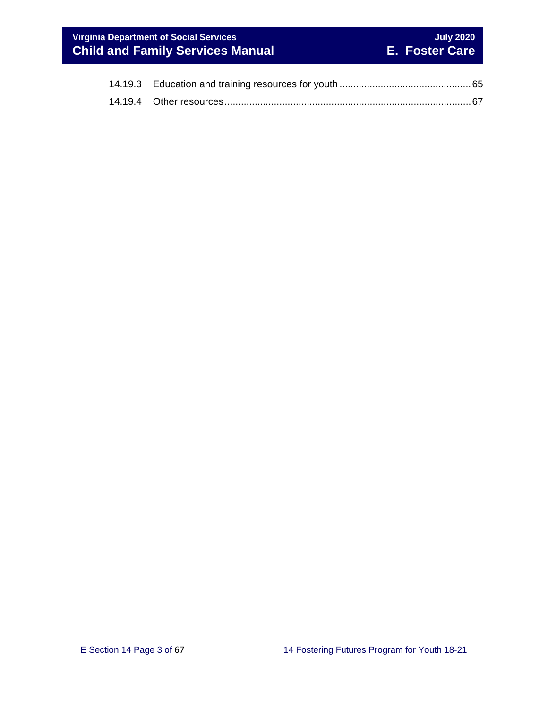## **Virginia Department of Social Services**<br> **Child and Family Services Manual Child and Family Services Manual E. Foster Care Child and Family Services Manual**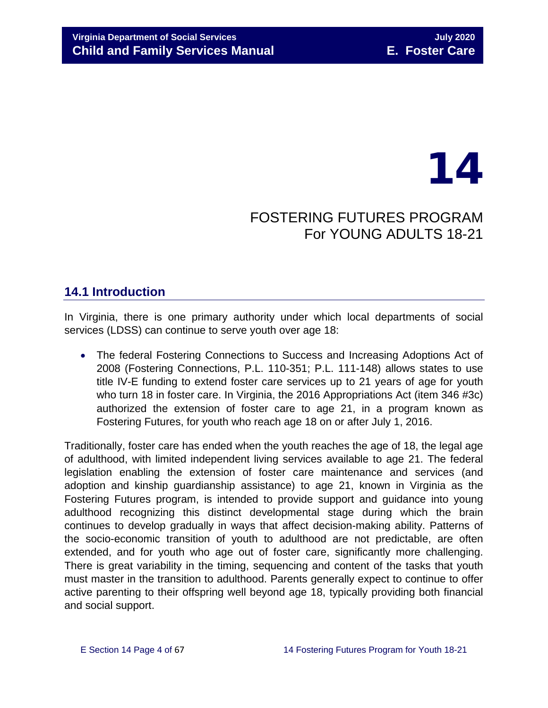## 14

## FOSTERING FUTURES PROGRAM For YOUNG ADULTS 18-21

## <span id="page-3-0"></span>**14.1 Introduction**

In Virginia, there is one primary authority under which local departments of social services (LDSS) can continue to serve youth over age 18:

• The federal Fostering Connections to Success and Increasing Adoptions Act of 2008 (Fostering Connections, P.L. 110-351; P.L. 111-148) allows states to use title IV-E funding to extend foster care services up to 21 years of age for youth who turn 18 in foster care. In Virginia, the 2016 Appropriations Act (item 346 #3c) authorized the extension of foster care to age 21, in a program known as Fostering Futures, for youth who reach age 18 on or after July 1, 2016.

Traditionally, foster care has ended when the youth reaches the age of 18, the legal age of adulthood, with limited independent living services available to age 21. The federal legislation enabling the extension of foster care maintenance and services (and adoption and kinship guardianship assistance) to age 21, known in Virginia as the Fostering Futures program, is intended to provide support and guidance into young adulthood recognizing this distinct developmental stage during which the brain continues to develop gradually in ways that affect decision-making ability. Patterns of the socio-economic transition of youth to adulthood are not predictable, are often extended, and for youth who age out of foster care, significantly more challenging. There is great variability in the timing, sequencing and content of the tasks that youth must master in the transition to adulthood. Parents generally expect to continue to offer active parenting to their offspring well beyond age 18, typically providing both financial and social support.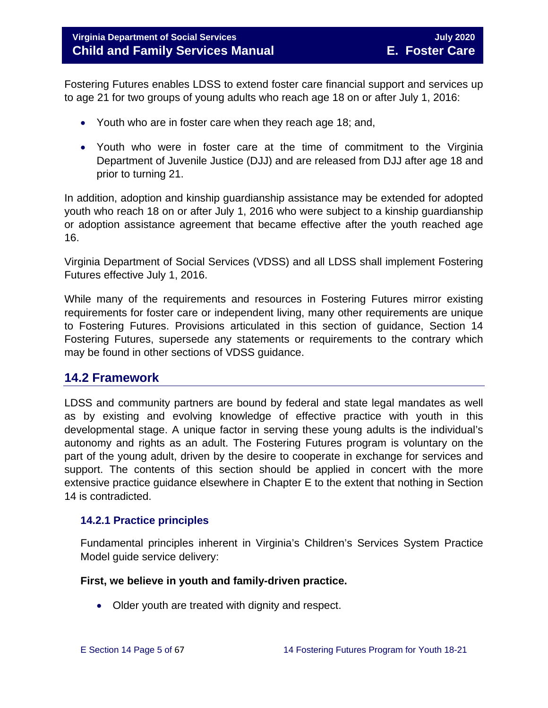Fostering Futures enables LDSS to extend foster care financial support and services up to age 21 for two groups of young adults who reach age 18 on or after July 1, 2016:

- Youth who are in foster care when they reach age 18; and,
- Youth who were in foster care at the time of commitment to the Virginia Department of Juvenile Justice (DJJ) and are released from DJJ after age 18 and prior to turning 21.

In addition, adoption and kinship guardianship assistance may be extended for adopted youth who reach 18 on or after July 1, 2016 who were subject to a kinship guardianship or adoption assistance agreement that became effective after the youth reached age 16.

Virginia Department of Social Services (VDSS) and all LDSS shall implement Fostering Futures effective July 1, 2016.

While many of the requirements and resources in Fostering Futures mirror existing requirements for foster care or independent living, many other requirements are unique to Fostering Futures. Provisions articulated in this section of guidance, Section 14 Fostering Futures, supersede any statements or requirements to the contrary which may be found in other sections of VDSS guidance.

## <span id="page-4-0"></span>**14.2 Framework**

LDSS and community partners are bound by federal and state legal mandates as well as by existing and evolving knowledge of effective practice with youth in this developmental stage. A unique factor in serving these young adults is the individual's autonomy and rights as an adult. The Fostering Futures program is voluntary on the part of the young adult, driven by the desire to cooperate in exchange for services and support. The contents of this section should be applied in concert with the more extensive practice guidance elsewhere in Chapter E to the extent that nothing in Section 14 is contradicted.

#### <span id="page-4-1"></span>**14.2.1 Practice principles**

Fundamental principles inherent in Virginia's Children's Services System Practice Model guide service delivery:

#### **First, we believe in youth and family-driven practice.**

• Older youth are treated with dignity and respect.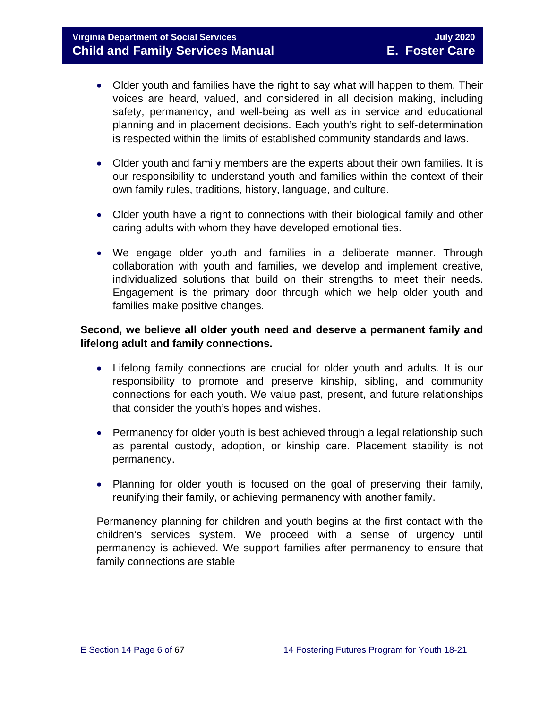### **Virginia Department of Social Services July 2020 Child and Family Services Manual E. Foster Care**

- Older youth and families have the right to say what will happen to them. Their voices are heard, valued, and considered in all decision making, including safety, permanency, and well-being as well as in service and educational planning and in placement decisions. Each youth's right to self-determination is respected within the limits of established community standards and laws.
- Older youth and family members are the experts about their own families. It is our responsibility to understand youth and families within the context of their own family rules, traditions, history, language, and culture.
- Older youth have a right to connections with their biological family and other caring adults with whom they have developed emotional ties.
- We engage older youth and families in a deliberate manner. Through collaboration with youth and families, we develop and implement creative, individualized solutions that build on their strengths to meet their needs. Engagement is the primary door through which we help older youth and families make positive changes.

#### **Second, we believe all older youth need and deserve a permanent family and lifelong adult and family connections.**

- Lifelong family connections are crucial for older youth and adults. It is our responsibility to promote and preserve kinship, sibling, and community connections for each youth. We value past, present, and future relationships that consider the youth's hopes and wishes.
- Permanency for older youth is best achieved through a legal relationship such as parental custody, adoption, or kinship care. Placement stability is not permanency.
- Planning for older youth is focused on the goal of preserving their family, reunifying their family, or achieving permanency with another family.

Permanency planning for children and youth begins at the first contact with the children's services system. We proceed with a sense of urgency until permanency is achieved. We support families after permanency to ensure that family connections are stable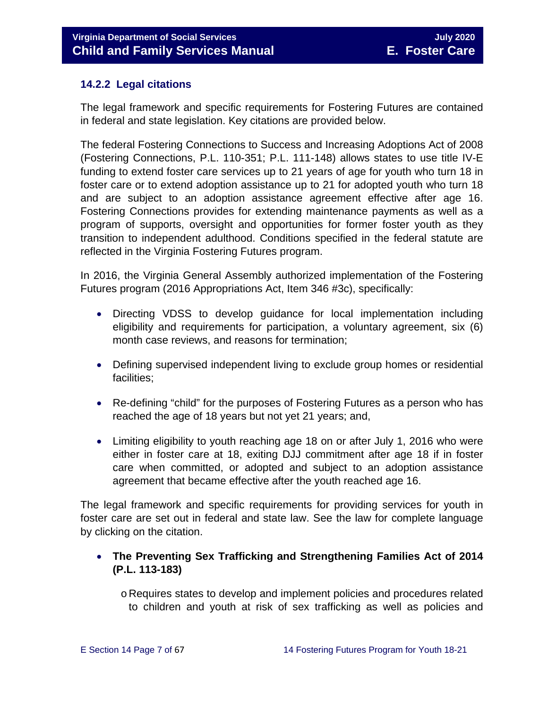#### <span id="page-6-0"></span>**14.2.2 Legal citations**

The legal framework and specific requirements for Fostering Futures are contained in federal and state legislation. Key citations are provided below.

The federal Fostering Connections to Success and Increasing Adoptions Act of 2008 (Fostering Connections, P.L. 110-351; P.L. 111-148) allows states to use title IV-E funding to extend foster care services up to 21 years of age for youth who turn 18 in foster care or to extend adoption assistance up to 21 for adopted youth who turn 18 and are subject to an adoption assistance agreement effective after age 16. Fostering Connections provides for extending maintenance payments as well as a program of supports, oversight and opportunities for former foster youth as they transition to independent adulthood. Conditions specified in the federal statute are reflected in the Virginia Fostering Futures program.

In 2016, the Virginia General Assembly authorized implementation of the Fostering Futures program (2016 Appropriations Act, Item 346 #3c), specifically:

- Directing VDSS to develop guidance for local implementation including eligibility and requirements for participation, a voluntary agreement, six (6) month case reviews, and reasons for termination;
- Defining supervised independent living to exclude group homes or residential facilities;
- Re-defining "child" for the purposes of Fostering Futures as a person who has reached the age of 18 years but not yet 21 years; and,
- Limiting eligibility to youth reaching age 18 on or after July 1, 2016 who were either in foster care at 18, exiting DJJ commitment after age 18 if in foster care when committed, or adopted and subject to an adoption assistance agreement that became effective after the youth reached age 16.

The legal framework and specific requirements for providing services for youth in foster care are set out in federal and state law. See the law for complete language by clicking on the citation.

#### • **The Preventing Sex Trafficking and Strengthening Families Act of 2014 (P.L. 113-183)**

o Requires states to develop and implement policies and procedures related to children and youth at risk of sex trafficking as well as policies and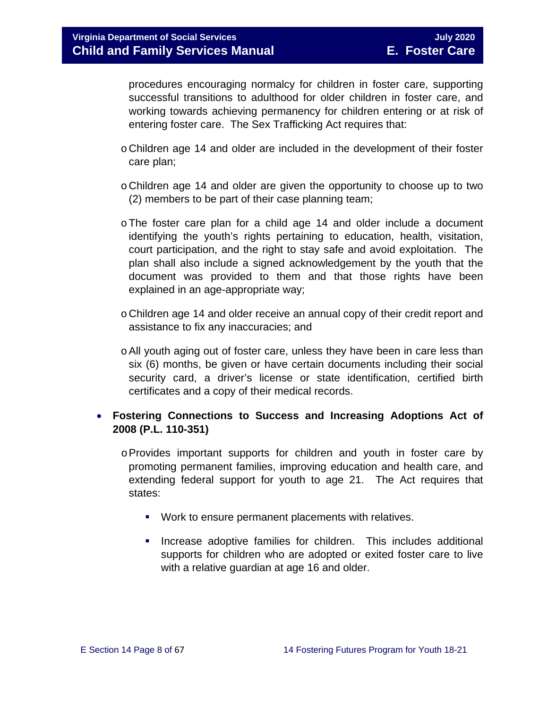procedures encouraging normalcy for children in foster care, supporting successful transitions to adulthood for older children in foster care, and working towards achieving permanency for children entering or at risk of entering foster care. The Sex Trafficking Act requires that:

- o Children age 14 and older are included in the development of their foster care plan;
- o Children age 14 and older are given the opportunity to choose up to two (2) members to be part of their case planning team;
- oThe foster care plan for a child age 14 and older include a document identifying the youth's rights pertaining to education, health, visitation, court participation, and the right to stay safe and avoid exploitation. The plan shall also include a signed acknowledgement by the youth that the document was provided to them and that those rights have been explained in an age-appropriate way;
- o Children age 14 and older receive an annual copy of their credit report and assistance to fix any inaccuracies; and
- oAll youth aging out of foster care, unless they have been in care less than six (6) months, be given or have certain documents including their social security card, a driver's license or state identification, certified birth certificates and a copy of their medical records.

#### • **Fostering Connections to Success and Increasing Adoptions Act of 2008 (P.L. 110-351)**

- $\circ$  Provides important supports for children and youth in foster care by promoting permanent families, improving education and health care, and extending federal support for youth to age 21. The Act requires that states:
	- **Work to ensure permanent placements with relatives.**
	- **Increase adoptive families for children.** This includes additional supports for children who are adopted or exited foster care to live with a relative guardian at age 16 and older.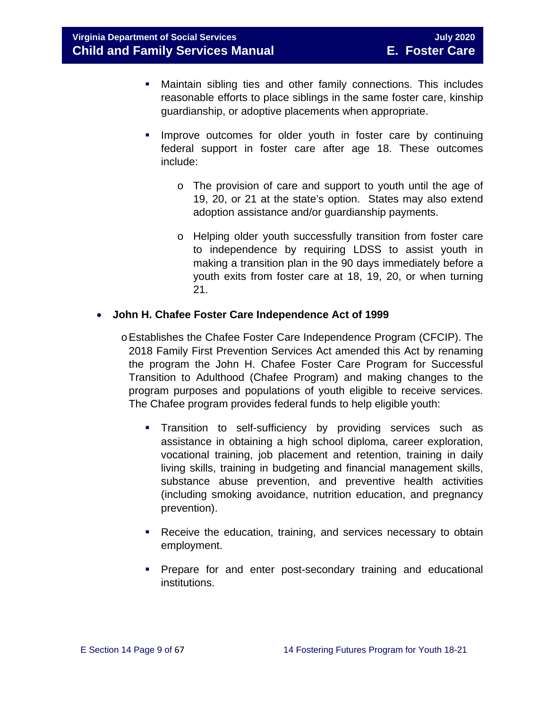- Maintain sibling ties and other family connections. This includes reasonable efforts to place siblings in the same foster care, kinship guardianship, or adoptive placements when appropriate.
- **IMPROVE OUTCOMES for older youth in foster care by continuing** federal support in foster care after age 18. These outcomes include:
	- o The provision of care and support to youth until the age of 19, 20, or 21 at the state's option. States may also extend adoption assistance and/or guardianship payments.
	- o Helping older youth successfully transition from foster care to independence by requiring LDSS to assist youth in making a transition plan in the 90 days immediately before a youth exits from foster care at 18, 19, 20, or when turning 21.

#### • **John H. Chafee Foster Care Independence Act of 1999**

- oEstablishes the Chafee Foster Care Independence Program (CFCIP). The 2018 Family First Prevention Services Act amended this Act by renaming the program the John H. Chafee Foster Care Program for Successful Transition to Adulthood (Chafee Program) and making changes to the program purposes and populations of youth eligible to receive services. The Chafee program provides federal funds to help eligible youth:
	- **Transition to self-sufficiency by providing services such as** assistance in obtaining a high school diploma, career exploration, vocational training, job placement and retention, training in daily living skills, training in budgeting and financial management skills, substance abuse prevention, and preventive health activities (including smoking avoidance, nutrition education, and pregnancy prevention).
	- **Receive the education, training, and services necessary to obtain** employment.
	- **Prepare for and enter post-secondary training and educational** institutions.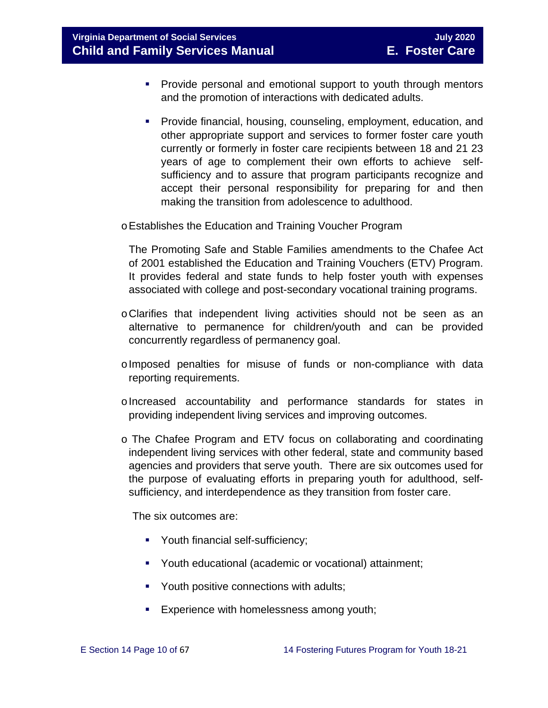**Virginia Department of Social Services July 2020 Child and Family Services Manual E. Foster Care**

- **Provide personal and emotional support to youth through mentors** and the promotion of interactions with dedicated adults.
- **Provide financial, housing, counseling, employment, education, and** other appropriate support and services to former foster care youth currently or formerly in foster care recipients between 18 and 21 23 years of age to complement their own efforts to achieve selfsufficiency and to assure that program participants recognize and accept their personal responsibility for preparing for and then making the transition from adolescence to adulthood.

oEstablishes the Education and Training Voucher Program

The Promoting Safe and Stable Families amendments to the Chafee Act of 2001 established the Education and Training Vouchers (ETV) Program. It provides federal and state funds to help foster youth with expenses associated with college and post-secondary vocational training programs.

- oClarifies that independent living activities should not be seen as an alternative to permanence for children/youth and can be provided concurrently regardless of permanency goal.
- oImposed penalties for misuse of funds or non-compliance with data reporting requirements.
- oIncreased accountability and performance standards for states in providing independent living services and improving outcomes.
- o The Chafee Program and ETV focus on collaborating and coordinating independent living services with other federal, state and community based agencies and providers that serve youth. There are six outcomes used for the purpose of evaluating efforts in preparing youth for adulthood, selfsufficiency, and interdependence as they transition from foster care.

The six outcomes are:

- Youth financial self-sufficiency;
- Youth educational (academic or vocational) attainment;
- **Youth positive connections with adults;**
- **Experience with homelessness among youth;**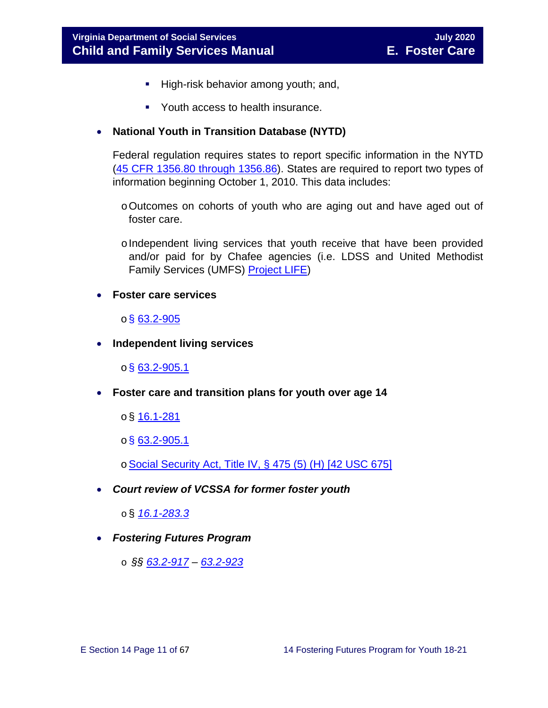- High-risk behavior among youth; and,
- Youth access to health insurance.

#### • **National Youth in Transition Database (NYTD)**

Federal regulation requires states to report specific information in the NYTD [\(45 CFR 1356.80 through 1356.86\)](http://www.ecfr.gov/cgi-bin/retrieveECFR?gp=1&SID=3d9be8b33d08994a45cff8aaff9f9476&ty=HTML&h=L&mc=true&r=PART&n=pt45.4.1356). States are required to report two types of information beginning October 1, 2010. This data includes:

- oOutcomes on cohorts of youth who are aging out and have aged out of foster care.
- o Independent living services that youth receive that have been provided and/or paid for by Chafee agencies (i.e. LDSS and United Methodist Family Services (UMFS) [Project LIFE\)](http://www.vaprojectlife.org/)
- **Foster care services**

#### $\circ$ § [63.2-905](https://law.lis.virginia.gov/vacode/title63.2/chapter9/section63.2-905/)

• **Independent living services** 

 $\circ$ § [63.2-905.1](https://law.lis.virginia.gov/vacode/title63.2/chapter9/section63.2-905.1/)

- **Foster care and transition plans for youth over age 14** 
	- $\circ$ § <u>[16.1-281](https://law.lis.virginia.gov/vacode/title16.1/chapter11/section16.1-281/)</u>
	- $o$ § [63.2-905.1](https://law.lis.virginia.gov/vacode/title63.2/chapter9/section63.2-905.1/)
	- o[Social Security Act, Title IV, § 475 \(5\) \(H\) \[42 USC 675\]](http://www.ssa.gov/OP_Home/ssact/title04/0475.htm)
- *Court review of VCSSA for former foster youth*

o § *[16.1-283.3](https://law.lis.virginia.gov/vacode/16.1-283.3/)*

- *Fostering Futures Program*
	- o *§§ [63.2-917](https://law.lis.virginia.gov/vacode/63.2-917/) – [63.2-923](https://law.lis.virginia.gov/vacode/63.2-923/)*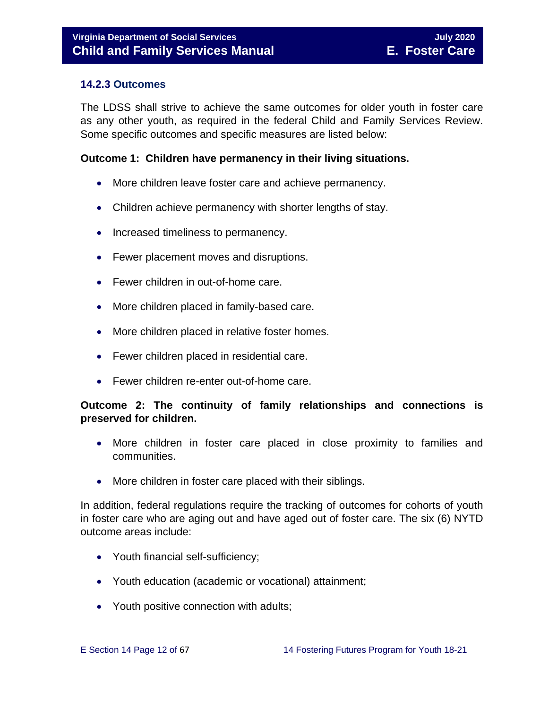#### <span id="page-11-0"></span>**14.2.3 Outcomes**

The LDSS shall strive to achieve the same outcomes for older youth in foster care as any other youth, as required in the federal Child and Family Services Review. Some specific outcomes and specific measures are listed below:

#### **Outcome 1: Children have permanency in their living situations.**

- More children leave foster care and achieve permanency.
- Children achieve permanency with shorter lengths of stay.
- Increased timeliness to permanency.
- Fewer placement moves and disruptions.
- Fewer children in out-of-home care.
- More children placed in family-based care.
- More children placed in relative foster homes.
- Fewer children placed in residential care.
- Fewer children re-enter out-of-home care.

#### **Outcome 2: The continuity of family relationships and connections is preserved for children.**

- More children in foster care placed in close proximity to families and communities.
- More children in foster care placed with their siblings.

In addition, federal regulations require the tracking of outcomes for cohorts of youth in foster care who are aging out and have aged out of foster care. The six (6) NYTD outcome areas include:

- Youth financial self-sufficiency;
- Youth education (academic or vocational) attainment;
- Youth positive connection with adults;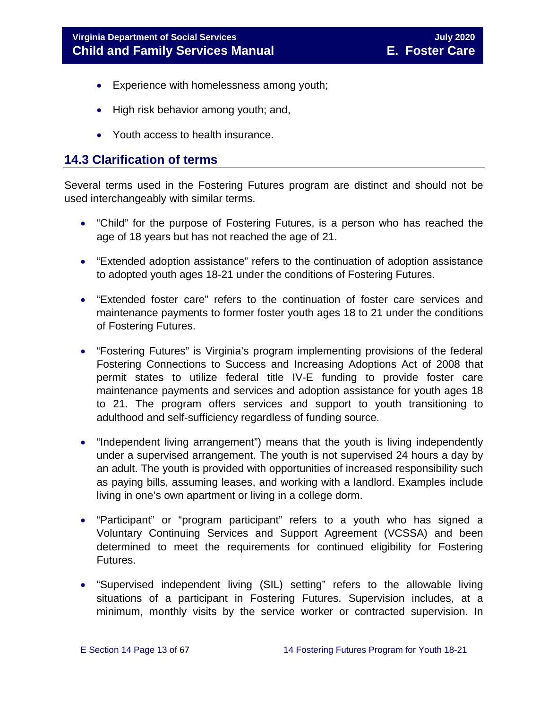- Experience with homelessness among youth;
- High risk behavior among youth; and,
- Youth access to health insurance.

## <span id="page-12-0"></span>**14.3 Clarification of terms**

Several terms used in the Fostering Futures program are distinct and should not be used interchangeably with similar terms.

- "Child" for the purpose of Fostering Futures, is a person who has reached the age of 18 years but has not reached the age of 21.
- "Extended adoption assistance" refers to the continuation of adoption assistance to adopted youth ages 18-21 under the conditions of Fostering Futures.
- "Extended foster care" refers to the continuation of foster care services and maintenance payments to former foster youth ages 18 to 21 under the conditions of Fostering Futures.
- "Fostering Futures" is Virginia's program implementing provisions of the federal Fostering Connections to Success and Increasing Adoptions Act of 2008 that permit states to utilize federal title IV-E funding to provide foster care maintenance payments and services and adoption assistance for youth ages 18 to 21. The program offers services and support to youth transitioning to adulthood and self-sufficiency regardless of funding source.
- "Independent living arrangement") means that the youth is living independently under a supervised arrangement. The youth is not supervised 24 hours a day by an adult. The youth is provided with opportunities of increased responsibility such as paying bills, assuming leases, and working with a landlord. Examples include living in one's own apartment or living in a college dorm.
- "Participant" or "program participant" refers to a youth who has signed a Voluntary Continuing Services and Support Agreement (VCSSA) and been determined to meet the requirements for continued eligibility for Fostering Futures.
- "Supervised independent living (SIL) setting" refers to the allowable living situations of a participant in Fostering Futures. Supervision includes, at a minimum, monthly visits by the service worker or contracted supervision. In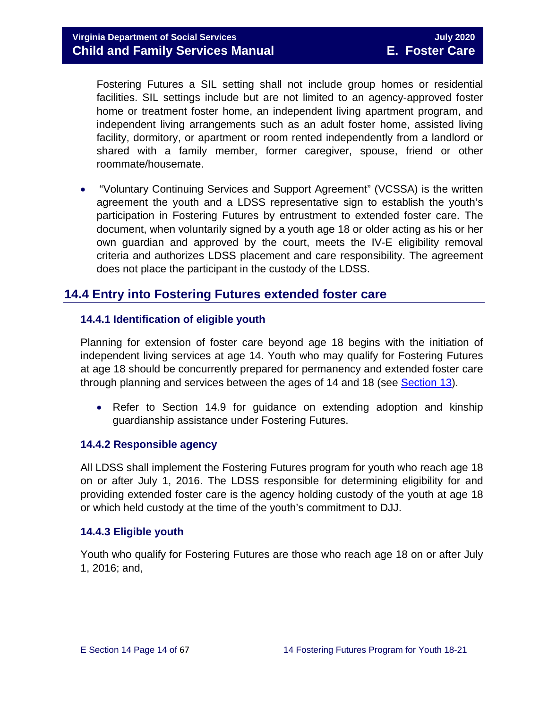Fostering Futures a SIL setting shall not include group homes or residential facilities. SIL settings include but are not limited to an agency-approved foster home or treatment foster home, an independent living apartment program, and independent living arrangements such as an adult foster home, assisted living facility, dormitory, or apartment or room rented independently from a landlord or shared with a family member, former caregiver, spouse, friend or other roommate/housemate.

• "Voluntary Continuing Services and Support Agreement" (VCSSA) is the written agreement the youth and a LDSS representative sign to establish the youth's participation in Fostering Futures by entrustment to extended foster care. The document, when voluntarily signed by a youth age 18 or older acting as his or her own guardian and approved by the court, meets the IV-E eligibility removal criteria and authorizes LDSS placement and care responsibility. The agreement does not place the participant in the custody of the LDSS.

## <span id="page-13-0"></span>**14.4 Entry into Fostering Futures extended foster care**

#### <span id="page-13-1"></span>**14.4.1 Identification of eligible youth**

Planning for extension of foster care beyond age 18 begins with the initiation of independent living services at age 14. Youth who may qualify for Fostering Futures at age 18 should be concurrently prepared for permanency and extended foster care through planning and services between the ages of 14 and 18 (see [Section](https://fusion.dss.virginia.gov/Portals/%5bdfs%5d/Files/DFS%20Manuals/Foster%20Care%20Manuals/Foster%20Care%20Manual%2007-2020/Final%20Foster%20Care%20Manual%2007-2020/Section_13_achieving_permanency_for_older_youth.pdf) 13).

• Refer to Section 14.9 for quidance on extending adoption and kinship guardianship assistance under Fostering Futures.

#### <span id="page-13-2"></span>**14.4.2 Responsible agency**

All LDSS shall implement the Fostering Futures program for youth who reach age 18 on or after July 1, 2016. The LDSS responsible for determining eligibility for and providing extended foster care is the agency holding custody of the youth at age 18 or which held custody at the time of the youth's commitment to DJJ.

#### <span id="page-13-3"></span>**14.4.3 Eligible youth**

Youth who qualify for Fostering Futures are those who reach age 18 on or after July 1, 2016; and,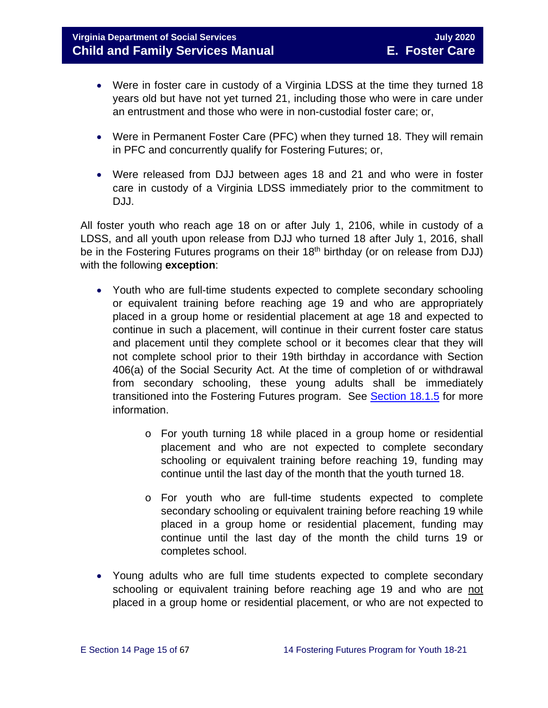- Were in foster care in custody of a Virginia LDSS at the time they turned 18 years old but have not yet turned 21, including those who were in care under an entrustment and those who were in non-custodial foster care; or,
- Were in Permanent Foster Care (PFC) when they turned 18. They will remain in PFC and concurrently qualify for Fostering Futures; or,
- Were released from DJJ between ages 18 and 21 and who were in foster care in custody of a Virginia LDSS immediately prior to the commitment to DJJ.

All foster youth who reach age 18 on or after July 1, 2106, while in custody of a LDSS, and all youth upon release from DJJ who turned 18 after July 1, 2016, shall be in the Fostering Futures programs on their 18<sup>th</sup> birthday (or on release from DJJ) with the following **exception**:

- Youth who are full-time students expected to complete secondary schooling or equivalent training before reaching age 19 and who are appropriately placed in a group home or residential placement at age 18 and expected to continue in such a placement, will continue in their current foster care status and placement until they complete school or it becomes clear that they will not complete school prior to their 19th birthday in accordance with Section 406(a) of the Social Security Act. At the time of completion of or withdrawal from secondary schooling, these young adults shall be immediately transitioned into the Fostering Futures program. See [Section 18.1.5](https://fusion.dss.virginia.gov/Portals/%5bdfs%5d/Files/DFS%20Manuals/Foster%20Care%20Manuals/Foster%20Care%20Manual%2007-2020/Final%20Foster%20Care%20Manual%2007-2020/section_18_funding_maintenance_costs.pdf#page=7) for more information.
	- o For youth turning 18 while placed in a group home or residential placement and who are not expected to complete secondary schooling or equivalent training before reaching 19, funding may continue until the last day of the month that the youth turned 18.
	- o For youth who are full-time students expected to complete secondary schooling or equivalent training before reaching 19 while placed in a group home or residential placement, funding may continue until the last day of the month the child turns 19 or completes school.
- Young adults who are full time students expected to complete secondary schooling or equivalent training before reaching age 19 and who are not placed in a group home or residential placement, or who are not expected to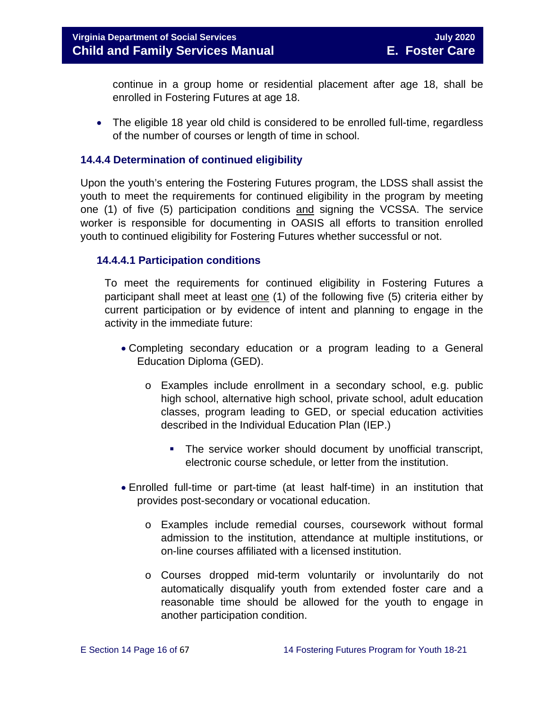continue in a group home or residential placement after age 18, shall be enrolled in Fostering Futures at age 18.

• The eligible 18 year old child is considered to be enrolled full-time, regardless of the number of courses or length of time in school.

#### <span id="page-15-0"></span>**14.4.4 Determination of continued eligibility**

Upon the youth's entering the Fostering Futures program, the LDSS shall assist the youth to meet the requirements for continued eligibility in the program by meeting one (1) of five (5) participation conditions and signing the VCSSA. The service worker is responsible for documenting in OASIS all efforts to transition enrolled youth to continued eligibility for Fostering Futures whether successful or not.

#### **14.4.4.1 Participation conditions**

To meet the requirements for continued eligibility in Fostering Futures a participant shall meet at least one (1) of the following five (5) criteria either by current participation or by evidence of intent and planning to engage in the activity in the immediate future:

- Completing secondary education or a program leading to a General Education Diploma (GED).
	- o Examples include enrollment in a secondary school, e.g. public high school, alternative high school, private school, adult education classes, program leading to GED, or special education activities described in the Individual Education Plan (IEP.)
		- **The service worker should document by unofficial transcript,** electronic course schedule, or letter from the institution.
- Enrolled full-time or part-time (at least half-time) in an institution that provides post-secondary or vocational education.
	- o Examples include remedial courses, coursework without formal admission to the institution, attendance at multiple institutions, or on-line courses affiliated with a licensed institution.
	- o Courses dropped mid-term voluntarily or involuntarily do not automatically disqualify youth from extended foster care and a reasonable time should be allowed for the youth to engage in another participation condition.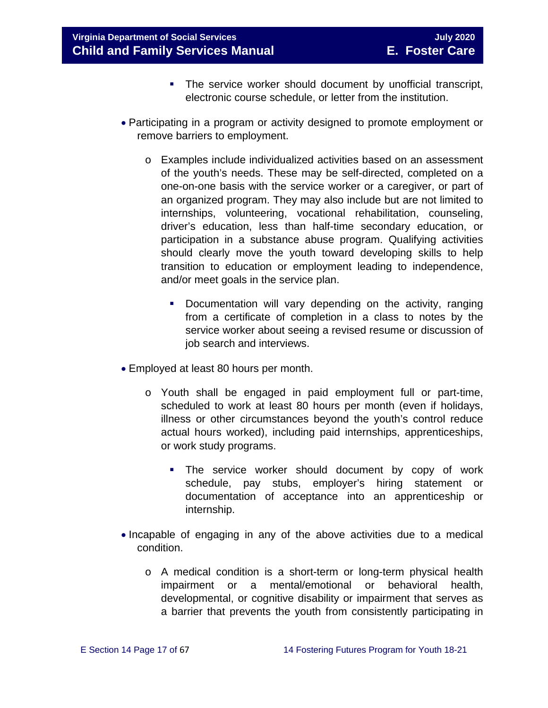- The service worker should document by unofficial transcript, electronic course schedule, or letter from the institution.
- Participating in a program or activity designed to promote employment or remove barriers to employment.
	- o Examples include individualized activities based on an assessment of the youth's needs. These may be self-directed, completed on a one-on-one basis with the service worker or a caregiver, or part of an organized program. They may also include but are not limited to internships, volunteering, vocational rehabilitation, counseling, driver's education, less than half-time secondary education, or participation in a substance abuse program. Qualifying activities should clearly move the youth toward developing skills to help transition to education or employment leading to independence, and/or meet goals in the service plan.
		- **Documentation will vary depending on the activity, ranging** from a certificate of completion in a class to notes by the service worker about seeing a revised resume or discussion of job search and interviews.
- Employed at least 80 hours per month.
	- o Youth shall be engaged in paid employment full or part-time, scheduled to work at least 80 hours per month (even if holidays, illness or other circumstances beyond the youth's control reduce actual hours worked), including paid internships, apprenticeships, or work study programs.
		- **The service worker should document by copy of work** schedule, pay stubs, employer's hiring statement or documentation of acceptance into an apprenticeship or internship.
- Incapable of engaging in any of the above activities due to a medical condition.
	- o A medical condition is a short-term or long-term physical health impairment or a mental/emotional or behavioral health. impairment or a mental/emotional or behavioral health, developmental, or cognitive disability or impairment that serves as a barrier that prevents the youth from consistently participating in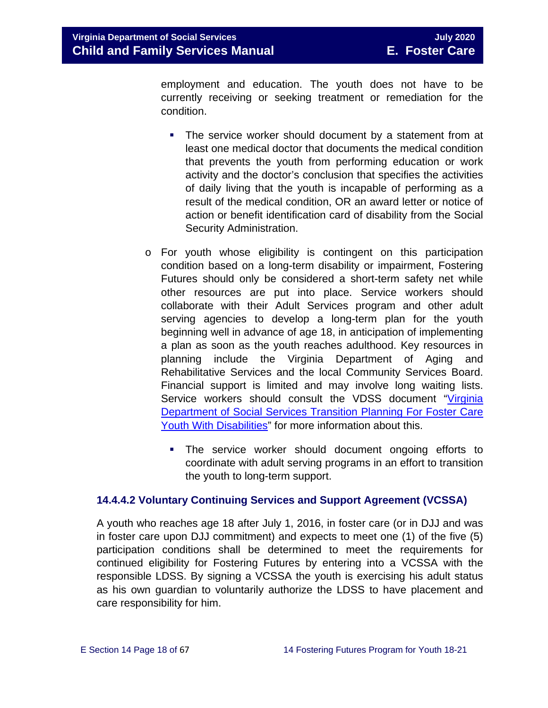employment and education. The youth does not have to be currently receiving or seeking treatment or remediation for the condition.

- **The service worker should document by a statement from at** least one medical doctor that documents the medical condition that prevents the youth from performing education or work activity and the doctor's conclusion that specifies the activities of daily living that the youth is incapable of performing as a result of the medical condition, OR an award letter or notice of action or benefit identification card of disability from the Social Security Administration.
- o For youth whose eligibility is contingent on this participation condition based on a long-term disability or impairment, Fostering Futures should only be considered a short-term safety net while other resources are put into place. Service workers should collaborate with their Adult Services program and other adult serving agencies to develop a long-term plan for the youth beginning well in advance of age 18, in anticipation of implementing a plan as soon as the youth reaches adulthood. Key resources in planning include the Virginia Department of Aging and Rehabilitative Services and the local Community Services Board. Financial support is limited and may involve long waiting lists. Service workers should consult the VDSS document "Virginia [Department of Social Services Transition](http://spark.dss.virginia.gov/divisions/dfs/fc/files/guidance_procedures_faq/guidance_procedures/tranistion_plan_disabilities.pdf) Planning For Foster Care [Youth With Disabilities"](http://spark.dss.virginia.gov/divisions/dfs/fc/files/guidance_procedures_faq/guidance_procedures/tranistion_plan_disabilities.pdf) for more information about this.
	- The service worker should document ongoing efforts to coordinate with adult serving programs in an effort to transition the youth to long-term support.

#### <span id="page-17-0"></span>**14.4.4.2 Voluntary Continuing Services and Support Agreement (VCSSA)**

A youth who reaches age 18 after July 1, 2016, in foster care (or in DJJ and was in foster care upon DJJ commitment) and expects to meet one (1) of the five (5) participation conditions shall be determined to meet the requirements for continued eligibility for Fostering Futures by entering into a VCSSA with the responsible LDSS. By signing a VCSSA the youth is exercising his adult status as his own guardian to voluntarily authorize the LDSS to have placement and care responsibility for him.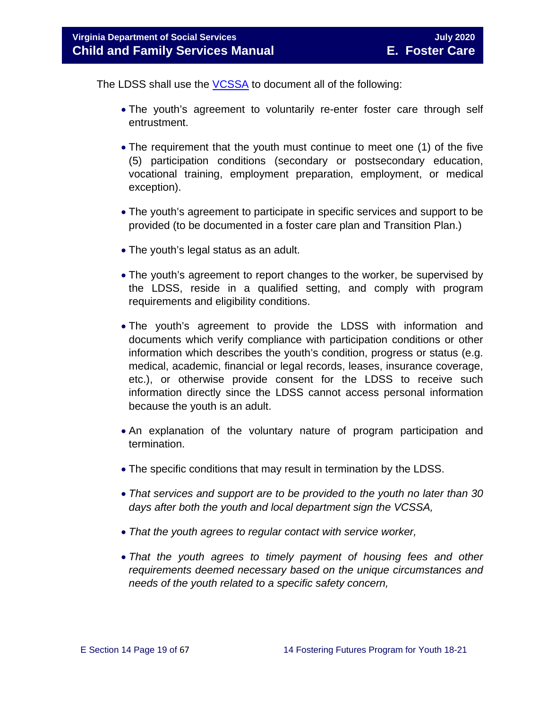The LDSS shall use the [VCSSA](https://fusion.dss.virginia.gov/Portals/%5Bdfs%5D/Files/DFS%20FORMS/Foster%20Care%20Forms/Fostering%20Futures%20Voluntary%20Continuing%20Services%20and%20Support%20Agreement.pdf) to document all of the following:

- The youth's agreement to voluntarily re-enter foster care through self entrustment.
- The requirement that the youth must continue to meet one (1) of the five (5) participation conditions (secondary or postsecondary education, vocational training, employment preparation, employment, or medical exception).
- The youth's agreement to participate in specific services and support to be provided (to be documented in a foster care plan and Transition Plan.)
- The youth's legal status as an adult.
- The youth's agreement to report changes to the worker, be supervised by the LDSS, reside in a qualified setting, and comply with program requirements and eligibility conditions.
- The youth's agreement to provide the LDSS with information and documents which verify compliance with participation conditions or other information which describes the youth's condition, progress or status (e.g. medical, academic, financial or legal records, leases, insurance coverage, etc.), or otherwise provide consent for the LDSS to receive such information directly since the LDSS cannot access personal information because the youth is an adult.
- An explanation of the voluntary nature of program participation and termination.
- The specific conditions that may result in termination by the LDSS.
- *That services and support are to be provided to the youth no later than 30 days after both the youth and local department sign the VCSSA,*
- *That the youth agrees to regular contact with service worker,*
- *That the youth agrees to timely payment of housing fees and other requirements deemed necessary based on the unique circumstances and needs of the youth related to a specific safety concern,*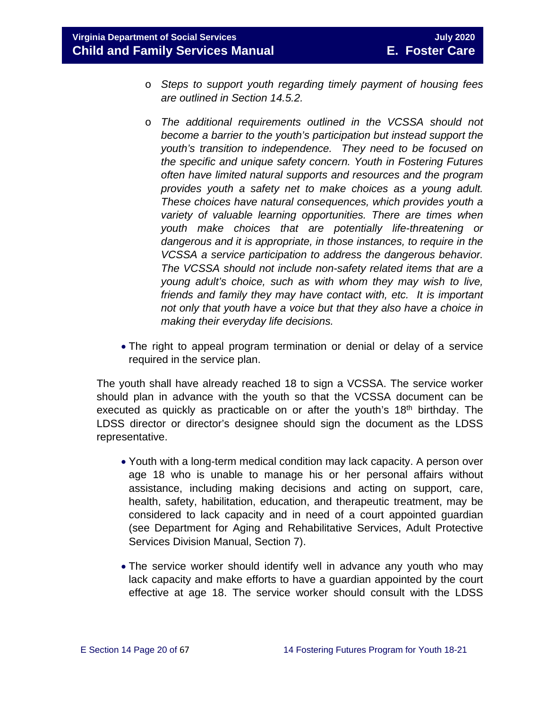- o *Steps to support youth regarding timely payment of housing fees are outlined in Section 14.5.2.*
- o *The additional requirements outlined in the VCSSA should not become a barrier to the youth's participation but instead support the youth's transition to independence. They need to be focused on the specific and unique safety concern. Youth in Fostering Futures often have limited natural supports and resources and the program provides youth a safety net to make choices as a young adult. These choices have natural consequences, which provides youth a variety of valuable learning opportunities. There are times when youth make choices that are potentially life-threatening or dangerous and it is appropriate, in those instances, to require in the VCSSA a service participation to address the dangerous behavior. The VCSSA should not include non-safety related items that are a young adult's choice, such as with whom they may wish to live, friends and family they may have contact with, etc. It is important not only that youth have a voice but that they also have a choice in making their everyday life decisions.*
- The right to appeal program termination or denial or delay of a service required in the service plan.

The youth shall have already reached 18 to sign a VCSSA. The service worker should plan in advance with the youth so that the VCSSA document can be executed as quickly as practicable on or after the youth's  $18<sup>th</sup>$  birthday. The LDSS director or director's designee should sign the document as the LDSS representative.

- Youth with a long-term medical condition may lack capacity. A person over age 18 who is unable to manage his or her personal affairs without assistance, including making decisions and acting on support, care, health, safety, habilitation, education, and therapeutic treatment, may be considered to lack capacity and in need of a court appointed guardian (see Department for Aging and Rehabilitative Services, Adult Protective Services Division Manual, Section 7).
- The service worker should identify well in advance any youth who may lack capacity and make efforts to have a guardian appointed by the court effective at age 18. The service worker should consult with the LDSS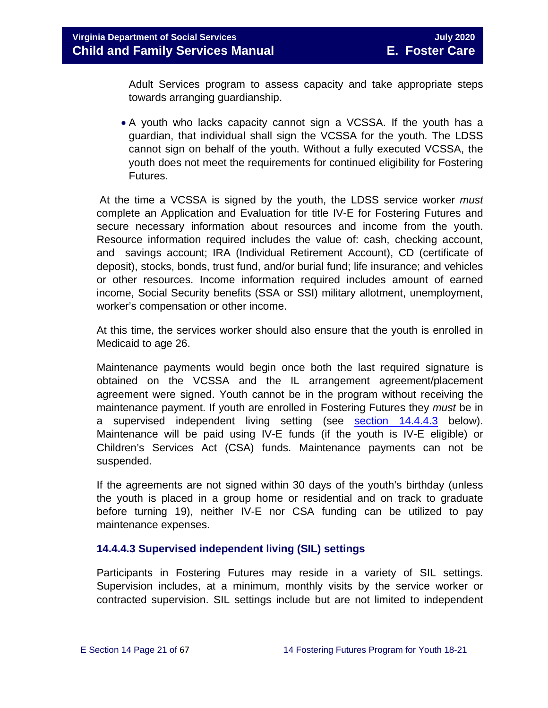Adult Services program to assess capacity and take appropriate steps towards arranging guardianship.

• A youth who lacks capacity cannot sign a VCSSA. If the youth has a guardian, that individual shall sign the VCSSA for the youth. The LDSS cannot sign on behalf of the youth. Without a fully executed VCSSA, the youth does not meet the requirements for continued eligibility for Fostering Futures.

At the time a VCSSA is signed by the youth, the LDSS service worker *must* complete an Application and Evaluation for title IV-E for Fostering Futures and secure necessary information about resources and income from the youth. Resource information required includes the value of: cash, checking account, and savings account; IRA (Individual Retirement Account), CD (certificate of deposit), stocks, bonds, trust fund, and/or burial fund; life insurance; and vehicles or other resources. Income information required includes amount of earned income, Social Security benefits (SSA or SSI) military allotment, unemployment, worker's compensation or other income.

At this time, the services worker should also ensure that the youth is enrolled in Medicaid to age 26.

Maintenance payments would begin once both the last required signature is obtained on the VCSSA and the IL arrangement agreement/placement agreement were signed. Youth cannot be in the program without receiving the maintenance payment. If youth are enrolled in Fostering Futures they *must* be in a supervised independent living setting (see [section 14.4.4.3](#page-17-0) below). Maintenance will be paid using IV-E funds (if the youth is IV-E eligible) or Children's Services Act (CSA) funds. Maintenance payments can not be suspended.

If the agreements are not signed within 30 days of the youth's birthday (unless the youth is placed in a group home or residential and on track to graduate before turning 19), neither IV-E nor CSA funding can be utilized to pay maintenance expenses.

#### **14.4.4.3 Supervised independent living (SIL) settings**

Participants in Fostering Futures may reside in a variety of SIL settings. Supervision includes, at a minimum, monthly visits by the service worker or contracted supervision. SIL settings include but are not limited to independent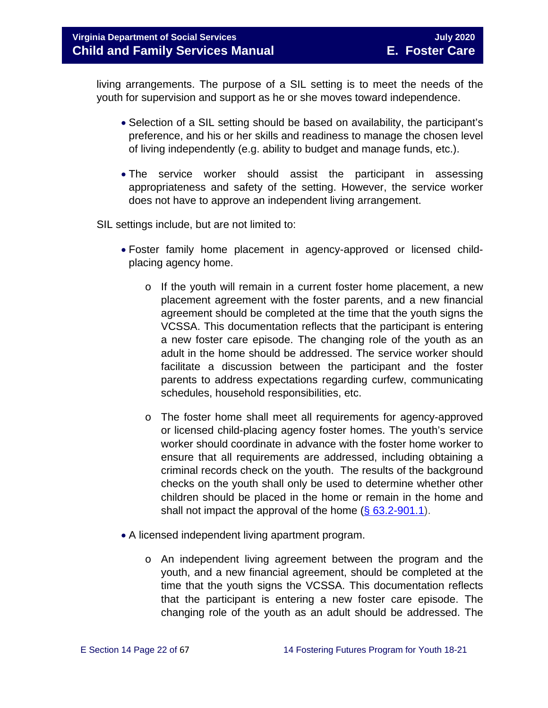living arrangements. The purpose of a SIL setting is to meet the needs of the youth for supervision and support as he or she moves toward independence.

- Selection of a SIL setting should be based on availability, the participant's preference, and his or her skills and readiness to manage the chosen level of living independently (e.g. ability to budget and manage funds, etc.).
- The service worker should assist the participant in assessing appropriateness and safety of the setting. However, the service worker does not have to approve an independent living arrangement.

SIL settings include, but are not limited to:

- Foster family home placement in agency-approved or licensed childplacing agency home.
	- $\circ$  If the youth will remain in a current foster home placement, a new placement agreement with the foster parents, and a new financial agreement should be completed at the time that the youth signs the VCSSA. This documentation reflects that the participant is entering a new foster care episode. The changing role of the youth as an adult in the home should be addressed. The service worker should facilitate a discussion between the participant and the foster parents to address expectations regarding curfew, communicating schedules, household responsibilities, etc.
	- o The foster home shall meet all requirements for agency-approved or licensed child-placing agency foster homes. The youth's service worker should coordinate in advance with the foster home worker to ensure that all requirements are addressed, including obtaining a criminal records check on the youth. The results of the background checks on the youth shall only be used to determine whether other children should be placed in the home or remain in the home and shall not impact the approval of the home  $(\S 63.2-901.1)$ .
- A licensed independent living apartment program.
	- o An independent living agreement between the program and the youth, and a new financial agreement, should be completed at the time that the youth signs the VCSSA. This documentation reflects that the participant is entering a new foster care episode. The changing role of the youth as an adult should be addressed. The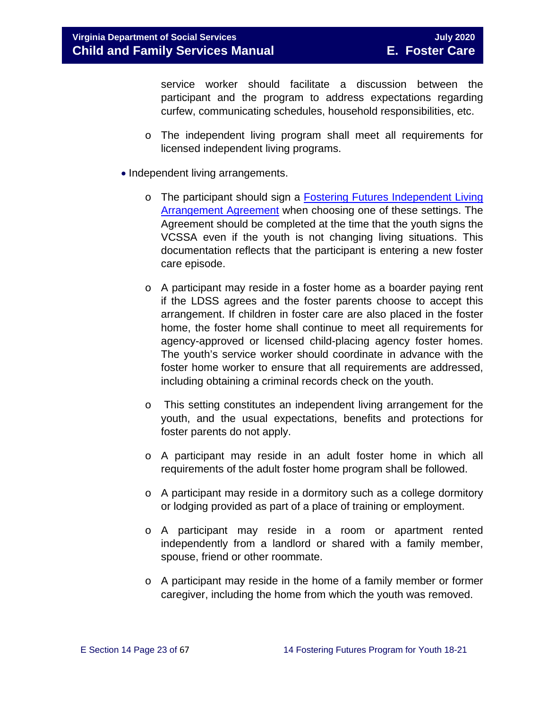service worker should facilitate a discussion between the participant and the program to address expectations regarding curfew, communicating schedules, household responsibilities, etc.

- o The independent living program shall meet all requirements for licensed independent living programs.
- Independent living arrangements.
	- o The participant should sign a Fostering Futures [Independent Living](https://fusion.dss.virginia.gov/dfs/DFS-Home/Foster-Care/Foster-Care-Forms) [Arrangement Agreement](https://fusion.dss.virginia.gov/dfs/DFS-Home/Foster-Care/Foster-Care-Forms) when choosing one of these settings. The Agreement should be completed at the time that the youth signs the VCSSA even if the youth is not changing living situations. This documentation reflects that the participant is entering a new foster care episode.
	- o A participant may reside in a foster home as a boarder paying rent if the LDSS agrees and the foster parents choose to accept this arrangement. If children in foster care are also placed in the foster home, the foster home shall continue to meet all requirements for agency-approved or licensed child-placing agency foster homes. The youth's service worker should coordinate in advance with the foster home worker to ensure that all requirements are addressed, including obtaining a criminal records check on the youth.
	- o This setting constitutes an independent living arrangement for the youth, and the usual expectations, benefits and protections for foster parents do not apply.
	- o A participant may reside in an adult foster home in which all requirements of the adult foster home program shall be followed.
	- o A participant may reside in a dormitory such as a college dormitory or lodging provided as part of a place of training or employment.
	- o A participant may reside in a room or apartment rented independently from a landlord or shared with a family member, spouse, friend or other roommate.
	- o A participant may reside in the home of a family member or former caregiver, including the home from which the youth was removed.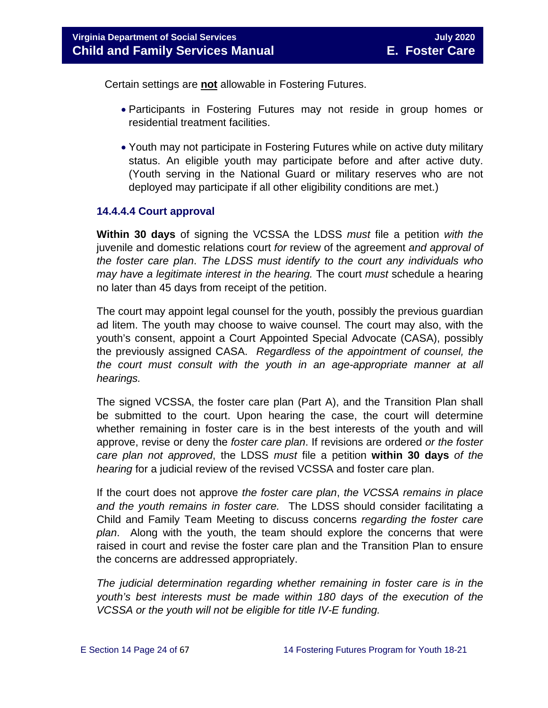Certain settings are **not** allowable in Fostering Futures.

- Participants in Fostering Futures may not reside in group homes or residential treatment facilities.
- Youth may not participate in Fostering Futures while on active duty military status. An eligible youth may participate before and after active duty. (Youth serving in the National Guard or military reserves who are not deployed may participate if all other eligibility conditions are met.)

#### **14.4.4.4 Court approval**

**Within 30 days** of signing the VCSSA the LDSS *must* file a petition *with the* juvenile and domestic relations court *for* review of the agreement *and approval of the foster care plan*. *The LDSS must identify to the court any individuals who may have a legitimate interest in the hearing.* The court *must* schedule a hearing no later than 45 days from receipt of the petition.

The court may appoint legal counsel for the youth, possibly the previous guardian ad litem. The youth may choose to waive counsel. The court may also, with the youth's consent, appoint a Court Appointed Special Advocate (CASA), possibly the previously assigned CASA. *Regardless of the appointment of counsel, the the court must consult with the youth in an age-appropriate manner at all hearings.*

The signed VCSSA, the foster care plan (Part A), and the Transition Plan shall be submitted to the court. Upon hearing the case, the court will determine whether remaining in foster care is in the best interests of the youth and will approve, revise or deny the *foster care plan*. If revisions are ordered *or the foster care plan not approved*, the LDSS *must* file a petition **within 30 days** *of the hearing* for a judicial review of the revised VCSSA and foster care plan.

If the court does not approve *the foster care plan*, *the VCSSA remains in place and the youth remains in foster care.* The LDSS should consider facilitating a Child and Family Team Meeting to discuss concerns *regarding the foster care plan*. Along with the youth, the team should explore the concerns that were raised in court and revise the foster care plan and the Transition Plan to ensure the concerns are addressed appropriately.

*The judicial determination regarding whether remaining in foster care is in the youth's best interests must be made within 180 days of the execution of the VCSSA or the youth will not be eligible for title IV-E funding.*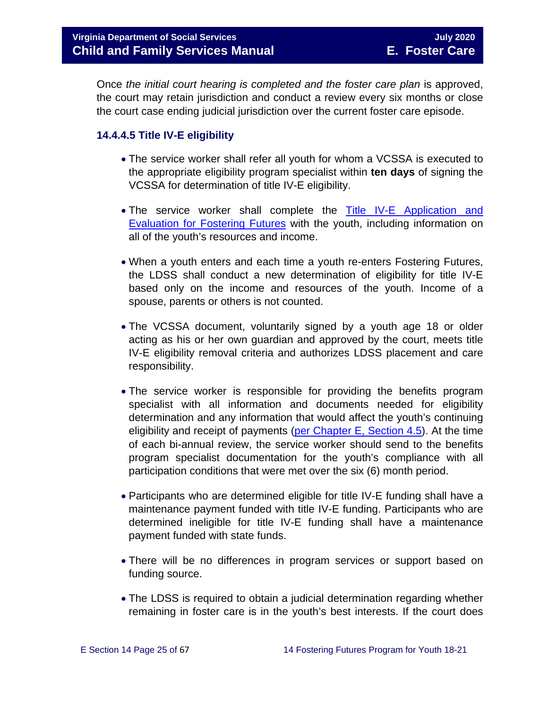Once *the initial court hearing is completed and the foster care plan* is approved, the court may retain jurisdiction and conduct a review every six months or close the court case ending judicial jurisdiction over the current foster care episode.

#### **14.4.4.5 Title IV-E eligibility**

- The service worker shall refer all youth for whom a VCSSA is executed to the appropriate eligibility program specialist within **ten days** of signing the VCSSA for determination of title IV-E eligibility.
- The service worker shall complete the Title IV-E Application and [Evaluation for Fostering Futures](https://fusion.dss.virginia.gov/Portals/%5Bdfs%5D/Files/Copy%20of%20Title_IV-E_Application_and_Evaluation_for_Fostering_Futures2017.xlsx) with the youth, including information on all of the youth's resources and income.
- When a youth enters and each time a youth re-enters Fostering Futures, the LDSS shall conduct a new determination of eligibility for title IV-E based only on the income and resources of the youth. Income of a spouse, parents or others is not counted.
- The VCSSA document, voluntarily signed by a youth age 18 or older acting as his or her own guardian and approved by the court, meets title IV-E eligibility removal criteria and authorizes LDSS placement and care responsibility.
- The service worker is responsible for providing the benefits program specialist with all information and documents needed for eligibility determination and any information that would affect the youth's continuing eligibility and receipt of payments (per Chapter [E, Section 4.5\)](https://fusion.dss.virginia.gov/Portals/%5bdfs%5d/Files/DFS%20Manuals/Foster%20Care%20Manuals/Foster%20Care%20Manual%2007-2020/Final%20Foster%20Care%20Manual%2007-2020/section_4_opening_and_maintaining_case.pdf#page=7). At the time of each bi-annual review, the service worker should send to the benefits program specialist documentation for the youth's compliance with all participation conditions that were met over the six (6) month period.
- Participants who are determined eligible for title IV-E funding shall have a maintenance payment funded with title IV-E funding. Participants who are determined ineligible for title IV-E funding shall have a maintenance payment funded with state funds.
- There will be no differences in program services or support based on funding source.
- The LDSS is required to obtain a judicial determination regarding whether remaining in foster care is in the youth's best interests. If the court does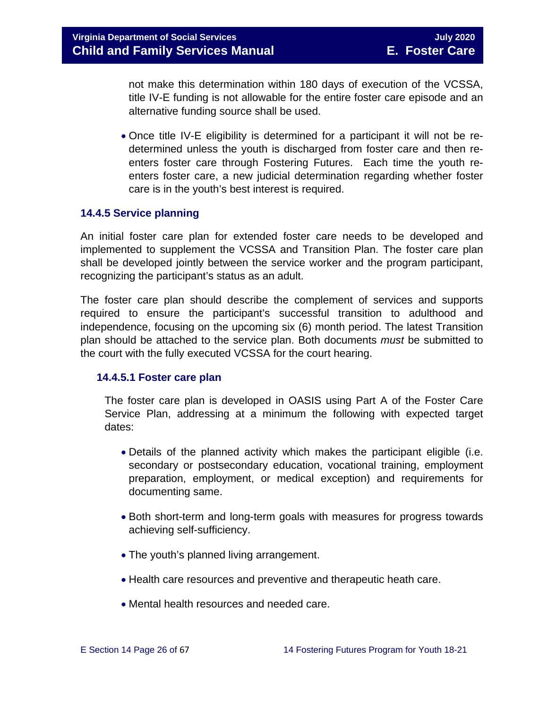not make this determination within 180 days of execution of the VCSSA, title IV-E funding is not allowable for the entire foster care episode and an alternative funding source shall be used.

• Once title IV-E eligibility is determined for a participant it will not be redetermined unless the youth is discharged from foster care and then reenters foster care through Fostering Futures. Each time the youth reenters foster care, a new judicial determination regarding whether foster care is in the youth's best interest is required.

#### <span id="page-25-0"></span>**14.4.5 Service planning**

An initial foster care plan for extended foster care needs to be developed and implemented to supplement the VCSSA and Transition Plan. The foster care plan shall be developed jointly between the service worker and the program participant, recognizing the participant's status as an adult.

The foster care plan should describe the complement of services and supports required to ensure the participant's successful transition to adulthood and independence, focusing on the upcoming six (6) month period. The latest Transition plan should be attached to the service plan. Both documents *must* be submitted to the court with the fully executed VCSSA for the court hearing.

#### **14.4.5.1 Foster care plan**

The foster care plan is developed in OASIS using Part A of the Foster Care Service Plan, addressing at a minimum the following with expected target dates:

- Details of the planned activity which makes the participant eligible (i.e. secondary or postsecondary education, vocational training, employment preparation, employment, or medical exception) and requirements for documenting same.
- Both short-term and long-term goals with measures for progress towards achieving self-sufficiency.
- The youth's planned living arrangement.
- Health care resources and preventive and therapeutic heath care.
- Mental health resources and needed care.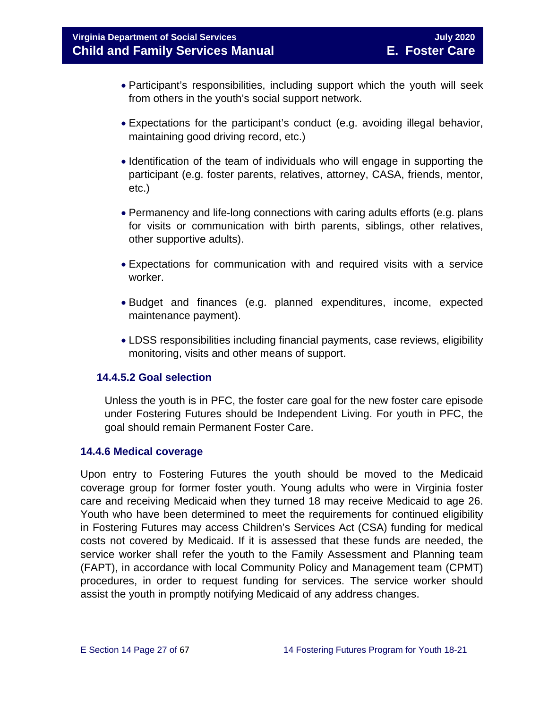- Participant's responsibilities, including support which the youth will seek from others in the youth's social support network.
- Expectations for the participant's conduct (e.g. avoiding illegal behavior, maintaining good driving record, etc.)
- Identification of the team of individuals who will engage in supporting the participant (e.g. foster parents, relatives, attorney, CASA, friends, mentor, etc.)
- Permanency and life-long connections with caring adults efforts (e.g. plans for visits or communication with birth parents, siblings, other relatives, other supportive adults).
- Expectations for communication with and required visits with a service worker.
- Budget and finances (e.g. planned expenditures, income, expected maintenance payment).
- LDSS responsibilities including financial payments, case reviews, eligibility monitoring, visits and other means of support.

#### **14.4.5.2 Goal selection**

Unless the youth is in PFC, the foster care goal for the new foster care episode under Fostering Futures should be Independent Living. For youth in PFC, the goal should remain Permanent Foster Care.

#### <span id="page-26-0"></span>**14.4.6 Medical coverage**

Upon entry to Fostering Futures the youth should be moved to the Medicaid coverage group for former foster youth. Young adults who were in Virginia foster care and receiving Medicaid when they turned 18 may receive Medicaid to age 26. Youth who have been determined to meet the requirements for continued eligibility in Fostering Futures may access Children's Services Act (CSA) funding for medical costs not covered by Medicaid. If it is assessed that these funds are needed, the service worker shall refer the youth to the Family Assessment and Planning team (FAPT), in accordance with local Community Policy and Management team (CPMT) procedures, in order to request funding for services. The service worker should assist the youth in promptly notifying Medicaid of any address changes.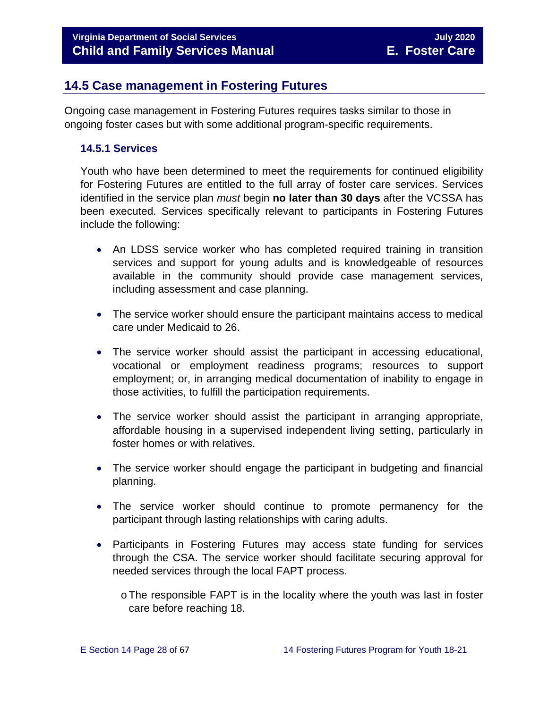## <span id="page-27-0"></span>**14.5 Case management in Fostering Futures**

Ongoing case management in Fostering Futures requires tasks similar to those in ongoing foster cases but with some additional program-specific requirements.

#### <span id="page-27-1"></span>**14.5.1 Services**

Youth who have been determined to meet the requirements for continued eligibility for Fostering Futures are entitled to the full array of foster care services. Services identified in the service plan *must* begin **no later than 30 days** after the VCSSA has been executed. Services specifically relevant to participants in Fostering Futures include the following:

- An LDSS service worker who has completed required training in transition services and support for young adults and is knowledgeable of resources available in the community should provide case management services, including assessment and case planning.
- The service worker should ensure the participant maintains access to medical care under Medicaid to 26.
- The service worker should assist the participant in accessing educational, vocational or employment readiness programs; resources to support employment; or, in arranging medical documentation of inability to engage in those activities, to fulfill the participation requirements.
- The service worker should assist the participant in arranging appropriate, affordable housing in a supervised independent living setting, particularly in foster homes or with relatives.
- The service worker should engage the participant in budgeting and financial planning.
- The service worker should continue to promote permanency for the participant through lasting relationships with caring adults.
- Participants in Fostering Futures may access state funding for services through the CSA. The service worker should facilitate securing approval for needed services through the local FAPT process.
	- oThe responsible FAPT is in the locality where the youth was last in foster care before reaching 18.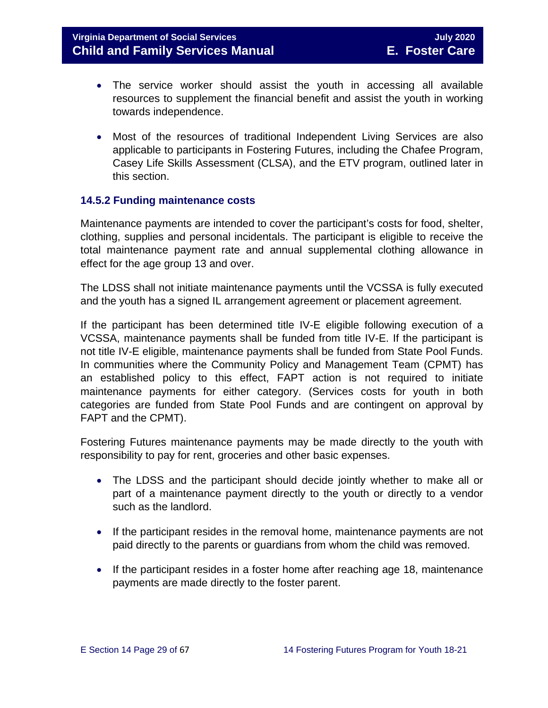- The service worker should assist the youth in accessing all available resources to supplement the financial benefit and assist the youth in working towards independence.
- Most of the resources of traditional Independent Living Services are also applicable to participants in Fostering Futures, including the Chafee Program, Casey Life Skills Assessment (CLSA), and the ETV program, outlined later in this section.

#### <span id="page-28-0"></span>**14.5.2 Funding maintenance costs**

Maintenance payments are intended to cover the participant's costs for food, shelter, clothing, supplies and personal incidentals. The participant is eligible to receive the total maintenance payment rate and annual supplemental clothing allowance in effect for the age group 13 and over.

The LDSS shall not initiate maintenance payments until the VCSSA is fully executed and the youth has a signed IL arrangement agreement or placement agreement.

If the participant has been determined title IV-E eligible following execution of a VCSSA, maintenance payments shall be funded from title IV-E. If the participant is not title IV-E eligible, maintenance payments shall be funded from State Pool Funds. In communities where the Community Policy and Management Team (CPMT) has an established policy to this effect, FAPT action is not required to initiate maintenance payments for either category. (Services costs for youth in both categories are funded from State Pool Funds and are contingent on approval by FAPT and the CPMT).

Fostering Futures maintenance payments may be made directly to the youth with responsibility to pay for rent, groceries and other basic expenses.

- The LDSS and the participant should decide jointly whether to make all or part of a maintenance payment directly to the youth or directly to a vendor such as the landlord.
- If the participant resides in the removal home, maintenance payments are not paid directly to the parents or guardians from whom the child was removed.
- If the participant resides in a foster home after reaching age 18, maintenance payments are made directly to the foster parent.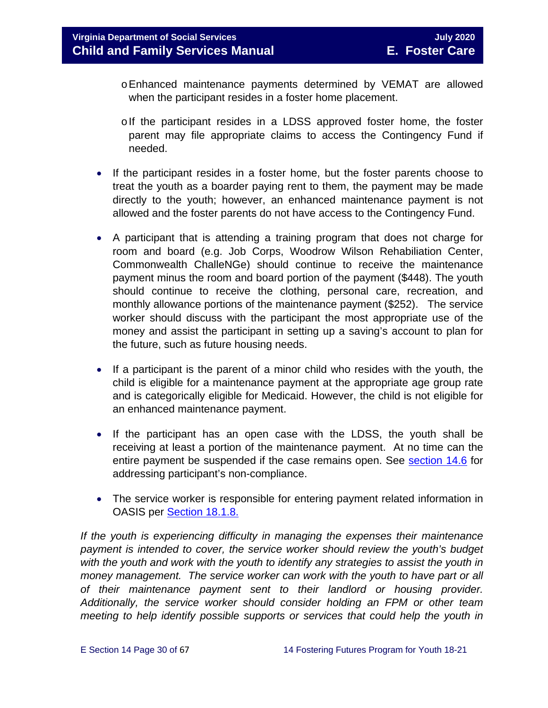- oEnhanced maintenance payments determined by VEMAT are allowed when the participant resides in a foster home placement.
- olf the participant resides in a LDSS approved foster home, the foster parent may file appropriate claims to access the Contingency Fund if needed.
- If the participant resides in a foster home, but the foster parents choose to treat the youth as a boarder paying rent to them, the payment may be made directly to the youth; however, an enhanced maintenance payment is not allowed and the foster parents do not have access to the Contingency Fund.
- A participant that is attending a training program that does not charge for room and board (e.g. Job Corps, Woodrow Wilson Rehabiliation Center, Commonwealth ChalleNGe) should continue to receive the maintenance payment minus the room and board portion of the payment (\$448). The youth should continue to receive the clothing, personal care, recreation, and monthly allowance portions of the maintenance payment (\$252). The service worker should discuss with the participant the most appropriate use of the money and assist the participant in setting up a saving's account to plan for the future, such as future housing needs.
- If a participant is the parent of a minor child who resides with the youth, the child is eligible for a maintenance payment at the appropriate age group rate and is categorically eligible for Medicaid. However, the child is not eligible for an enhanced maintenance payment.
- If the participant has an open case with the LDSS, the youth shall be receiving at least a portion of the maintenance payment. At no time can the entire payment be suspended if the case remains open. See [section 14.6](#page-33-0) for addressing participant's non-compliance.
- The service worker is responsible for entering payment related information in OASIS per [Section 18.1.8.](https://fusion.dss.virginia.gov/Portals/%5bdfs%5d/Files/DFS%20Manuals/Foster%20Care%20Manuals/Foster%20Care%20Manual%2007-2020/Final%20Foster%20Care%20Manual%2007-2020/section_18_funding_maintenance_costs.pdf#page=9)

*If the youth is experiencing difficulty in managing the expenses their maintenance payment is intended to cover, the service worker should review the youth's budget with the youth and work with the youth to identify any strategies to assist the youth in money management. The service worker can work with the youth to have part or all of their maintenance payment sent to their landlord or housing provider. Additionally, the service worker should consider holding an FPM or other team meeting to help identify possible supports or services that could help the youth in*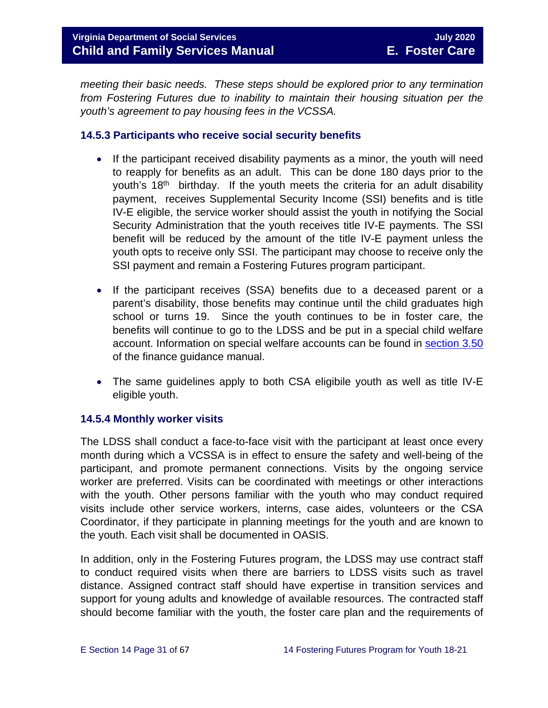*meeting their basic needs. These steps should be explored prior to any termination from Fostering Futures due to inability to maintain their housing situation per the youth's agreement to pay housing fees in the VCSSA.* 

#### <span id="page-30-0"></span>**14.5.3 Participants who receive social security benefits**

- If the participant received disability payments as a minor, the youth will need to reapply for benefits as an adult. This can be done 180 days prior to the youth's  $18<sup>th</sup>$  birthday. If the youth meets the criteria for an adult disability payment, receives Supplemental Security Income (SSI) benefits and is title IV-E eligible, the service worker should assist the youth in notifying the Social Security Administration that the youth receives title IV-E payments. The SSI benefit will be reduced by the amount of the title IV-E payment unless the youth opts to receive only SSI. The participant may choose to receive only the SSI payment and remain a Fostering Futures program participant.
- If the participant receives (SSA) benefits due to a deceased parent or a parent's disability, those benefits may continue until the child graduates high school or turns 19. Since the youth continues to be in foster care, the benefits will continue to go to the LDSS and be put in a special child welfare account. Information on special welfare accounts can be found in [section 3.50](https://fusion.dss.virginia.gov/Portals/%5Bdof%5D/Files/section_3_50_-_special_welfare.pdf) of the finance guidance manual.
- The same guidelines apply to both CSA eligibile youth as well as title IV-E eligible youth.

#### <span id="page-30-1"></span>**14.5.4 Monthly worker visits**

The LDSS shall conduct a face-to-face visit with the participant at least once every month during which a VCSSA is in effect to ensure the safety and well-being of the participant, and promote permanent connections. Visits by the ongoing service worker are preferred. Visits can be coordinated with meetings or other interactions with the youth. Other persons familiar with the youth who may conduct required visits include other service workers, interns, case aides, volunteers or the CSA Coordinator, if they participate in planning meetings for the youth and are known to the youth. Each visit shall be documented in OASIS.

In addition, only in the Fostering Futures program, the LDSS may use contract staff to conduct required visits when there are barriers to LDSS visits such as travel distance. Assigned contract staff should have expertise in transition services and support for young adults and knowledge of available resources. The contracted staff should become familiar with the youth, the foster care plan and the requirements of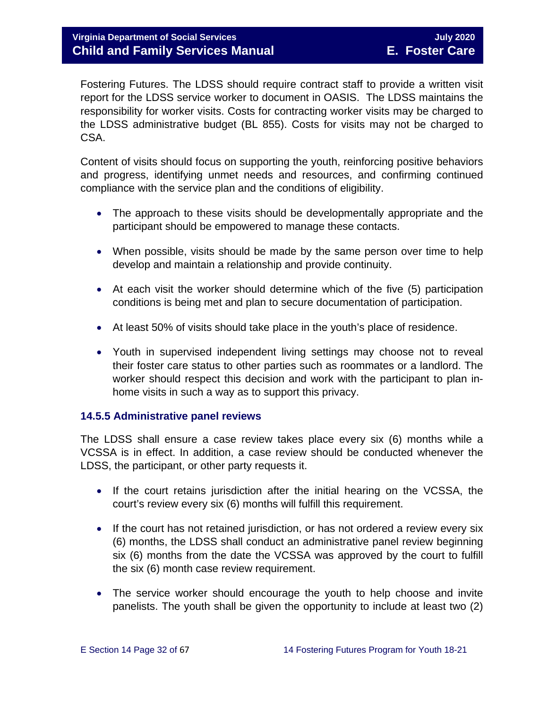Fostering Futures. The LDSS should require contract staff to provide a written visit report for the LDSS service worker to document in OASIS. The LDSS maintains the responsibility for worker visits. Costs for contracting worker visits may be charged to the LDSS administrative budget (BL 855). Costs for visits may not be charged to CSA.

Content of visits should focus on supporting the youth, reinforcing positive behaviors and progress, identifying unmet needs and resources, and confirming continued compliance with the service plan and the conditions of eligibility.

- The approach to these visits should be developmentally appropriate and the participant should be empowered to manage these contacts.
- When possible, visits should be made by the same person over time to help develop and maintain a relationship and provide continuity.
- At each visit the worker should determine which of the five (5) participation conditions is being met and plan to secure documentation of participation.
- At least 50% of visits should take place in the youth's place of residence.
- Youth in supervised independent living settings may choose not to reveal their foster care status to other parties such as roommates or a landlord. The worker should respect this decision and work with the participant to plan inhome visits in such a way as to support this privacy.

#### <span id="page-31-0"></span>**14.5.5 Administrative panel reviews**

The LDSS shall ensure a case review takes place every six (6) months while a VCSSA is in effect. In addition, a case review should be conducted whenever the LDSS, the participant, or other party requests it.

- If the court retains jurisdiction after the initial hearing on the VCSSA, the court's review every six (6) months will fulfill this requirement.
- If the court has not retained jurisdiction, or has not ordered a review every six (6) months, the LDSS shall conduct an administrative panel review beginning six (6) months from the date the VCSSA was approved by the court to fulfill the six (6) month case review requirement.
- The service worker should encourage the youth to help choose and invite panelists. The youth shall be given the opportunity to include at least two (2)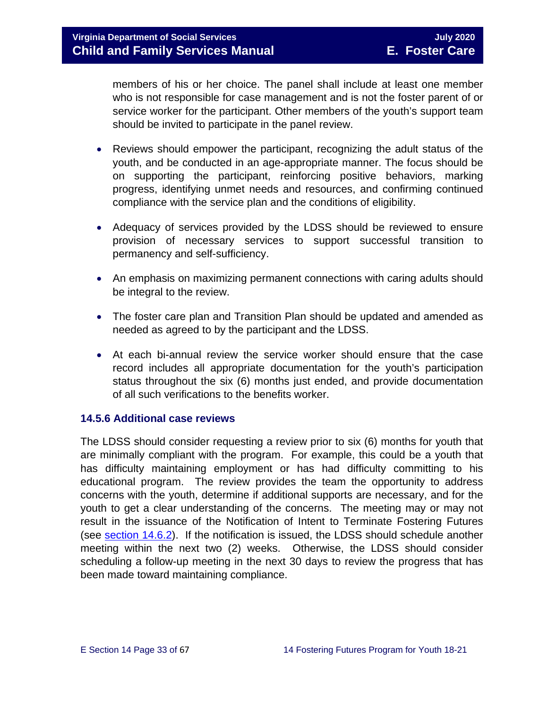members of his or her choice. The panel shall include at least one member who is not responsible for case management and is not the foster parent of or service worker for the participant. Other members of the youth's support team should be invited to participate in the panel review.

- Reviews should empower the participant, recognizing the adult status of the youth, and be conducted in an age-appropriate manner. The focus should be on supporting the participant, reinforcing positive behaviors, marking progress, identifying unmet needs and resources, and confirming continued compliance with the service plan and the conditions of eligibility.
- Adequacy of services provided by the LDSS should be reviewed to ensure provision of necessary services to support successful transition to permanency and self-sufficiency.
- An emphasis on maximizing permanent connections with caring adults should be integral to the review.
- The foster care plan and Transition Plan should be updated and amended as needed as agreed to by the participant and the LDSS.
- At each bi-annual review the service worker should ensure that the case record includes all appropriate documentation for the youth's participation status throughout the six (6) months just ended, and provide documentation of all such verifications to the benefits worker.

#### <span id="page-32-0"></span>**14.5.6 Additional case reviews**

The LDSS should consider requesting a review prior to six (6) months for youth that are minimally compliant with the program. For example, this could be a youth that has difficulty maintaining employment or has had difficulty committing to his educational program. The review provides the team the opportunity to address concerns with the youth, determine if additional supports are necessary, and for the youth to get a clear understanding of the concerns. The meeting may or may not result in the issuance of the Notification of Intent to Terminate Fostering Futures (see [section 14.6.2\)](#page-34-0). If the notification is issued, the LDSS should schedule another meeting within the next two (2) weeks. Otherwise, the LDSS should consider scheduling a follow-up meeting in the next 30 days to review the progress that has been made toward maintaining compliance.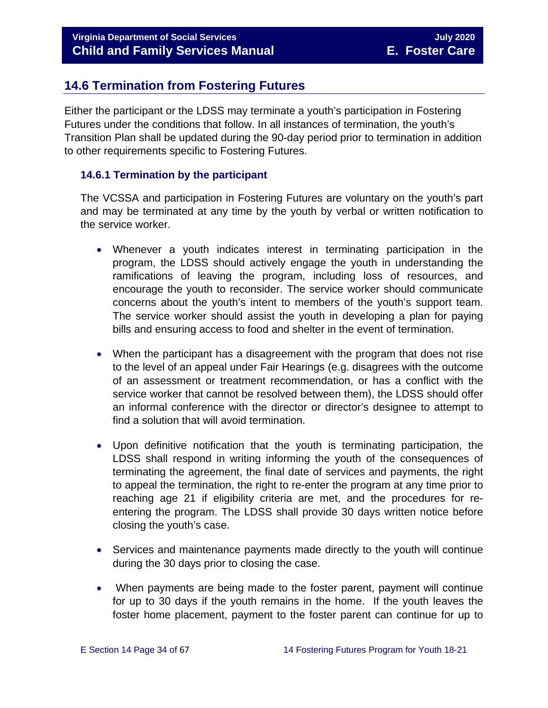## <span id="page-33-0"></span>**14.6 Termination from Fostering Futures**

Either the participant or the LDSS may terminate a youth's participation in Fostering Futures under the conditions that follow. In all instances of termination, the youth's Transition Plan shall be updated during the 90-day period prior to termination in addition to other requirements specific to Fostering Futures.

#### <span id="page-33-1"></span>**14.6.1 Termination by the participant**

The VCSSA and participation in Fostering Futures are voluntary on the youth's part and may be terminated at any time by the youth by verbal or written notification to the service worker.

- Whenever a youth indicates interest in terminating participation in the program, the LDSS should actively engage the youth in understanding the ramifications of leaving the program, including loss of resources, and encourage the youth to reconsider. The service worker should communicate concerns about the youth's intent to members of the youth's support team. The service worker should assist the youth in developing a plan for paying bills and ensuring access to food and shelter in the event of termination.
- When the participant has a disagreement with the program that does not rise to the level of an appeal under Fair Hearings (e.g. disagrees with the outcome of an assessment or treatment recommendation, or has a conflict with the service worker that cannot be resolved between them), the LDSS should offer an informal conference with the director or director's designee to attempt to find a solution that will avoid termination.
- Upon definitive notification that the youth is terminating participation, the LDSS shall respond in writing informing the youth of the consequences of terminating the agreement, the final date of services and payments, the right to appeal the termination, the right to re-enter the program at any time prior to reaching age 21 if eligibility criteria are met, and the procedures for reentering the program. The LDSS shall provide 30 days written notice before closing the youth's case.
- Services and maintenance payments made directly to the youth will continue during the 30 days prior to closing the case.
- When payments are being made to the foster parent, payment will continue for up to 30 days if the youth remains in the home. If the youth leaves the foster home placement, payment to the foster parent can continue for up to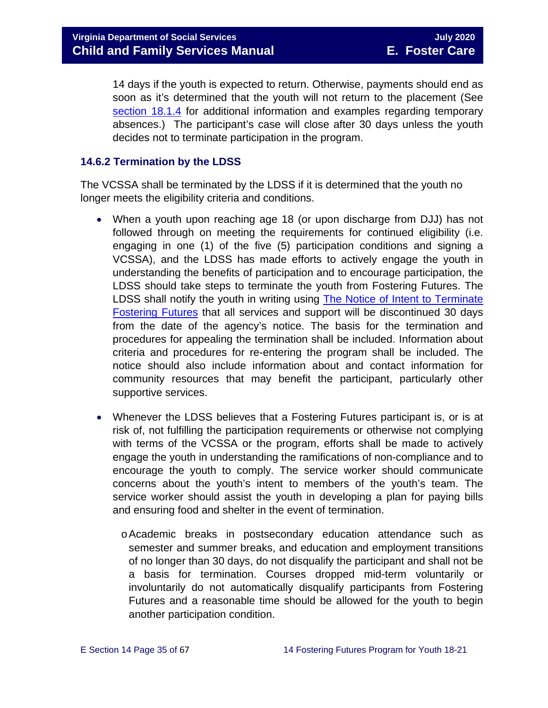14 days if the youth is expected to return. Otherwise, payments should end as soon as it's determined that the youth will not return to the placement (See [section 18.1.4](https://fusion.dss.virginia.gov/Portals/%5bdfs%5d/Files/DFS%20Manuals/Foster%20Care%20Manuals/Foster%20Care%20Manual%2007-2020/Final%20Foster%20Care%20Manual%2007-2020/section_18_funding_maintenance_costs.pdf#page=4) for additional information and examples regarding temporary absences.) The participant's case will close after 30 days unless the youth decides not to terminate participation in the program.

#### <span id="page-34-0"></span>**14.6.2 Termination by the LDSS**

The VCSSA shall be terminated by the LDSS if it is determined that the youth no longer meets the eligibility criteria and conditions.

- When a youth upon reaching age 18 (or upon discharge from DJJ) has not followed through on meeting the requirements for continued eligibility (i.e. engaging in one (1) of the five (5) participation conditions and signing a VCSSA), and the LDSS has made efforts to actively engage the youth in understanding the benefits of participation and to encourage participation, the LDSS should take steps to terminate the youth from Fostering Futures. The LDSS shall notify the youth in writing using [The Notice of Intent to Terminate](https://fusion.dss.virginia.gov/Portals/%5Bdfs%5D/Files/DFS%20FORMS/Foster%20Care%20Forms/Notice%20of%20Intent%20to%20Terminate%20Fostering%20Futures.pdf)  [Fostering Futures](https://fusion.dss.virginia.gov/Portals/%5Bdfs%5D/Files/DFS%20FORMS/Foster%20Care%20Forms/Notice%20of%20Intent%20to%20Terminate%20Fostering%20Futures.pdf) that all services and support will be discontinued 30 days from the date of the agency's notice. The basis for the termination and procedures for appealing the termination shall be included. Information about criteria and procedures for re-entering the program shall be included. The notice should also include information about and contact information for community resources that may benefit the participant, particularly other supportive services.
- Whenever the LDSS believes that a Fostering Futures participant is, or is at risk of, not fulfilling the participation requirements or otherwise not complying with terms of the VCSSA or the program, efforts shall be made to actively engage the youth in understanding the ramifications of non-compliance and to encourage the youth to comply. The service worker should communicate concerns about the youth's intent to members of the youth's team. The service worker should assist the youth in developing a plan for paying bills and ensuring food and shelter in the event of termination.
	- oAcademic breaks in postsecondary education attendance such as semester and summer breaks, and education and employment transitions of no longer than 30 days, do not disqualify the participant and shall not be a basis for termination. Courses dropped mid-term voluntarily or involuntarily do not automatically disqualify participants from Fostering Futures and a reasonable time should be allowed for the youth to begin another participation condition.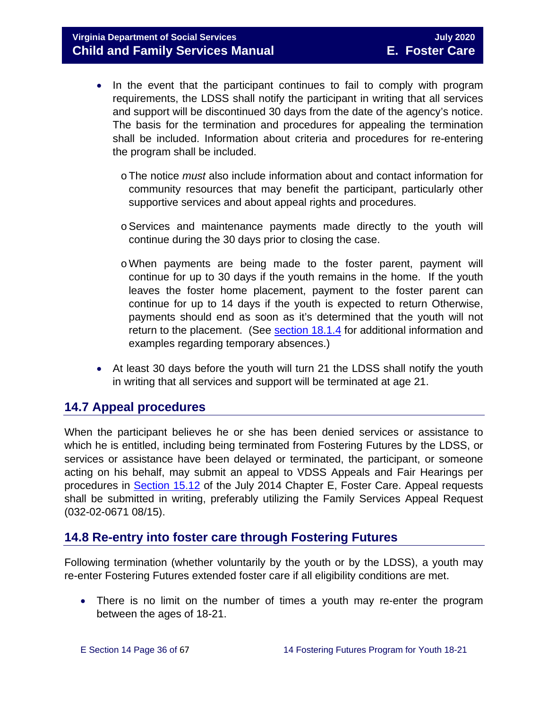- In the event that the participant continues to fail to comply with program requirements, the LDSS shall notify the participant in writing that all services and support will be discontinued 30 days from the date of the agency's notice. The basis for the termination and procedures for appealing the termination shall be included. Information about criteria and procedures for re-entering the program shall be included.
	- oThe notice *must* also include information about and contact information for community resources that may benefit the participant, particularly other supportive services and about appeal rights and procedures.
	- oServices and maintenance payments made directly to the youth will continue during the 30 days prior to closing the case.
	- oWhen payments are being made to the foster parent, payment will continue for up to 30 days if the youth remains in the home. If the youth leaves the foster home placement, payment to the foster parent can continue for up to 14 days if the youth is expected to return Otherwise, payments should end as soon as it's determined that the youth will not return to the placement. (See [section 18.1.4](https://fusion.dss.virginia.gov/Portals/%5bdfs%5d/Files/DFS%20Manuals/Foster%20Care%20Manuals/Foster%20Care%20Manual%2007-2020/Final%20Foster%20Care%20Manual%2007-2020/section_18_funding_maintenance_costs.pdf#page=4) for additional information and examples regarding temporary absences.)
- At least 30 days before the youth will turn 21 the LDSS shall notify the youth in writing that all services and support will be terminated at age 21.

## <span id="page-35-0"></span>**14.7 Appeal procedures**

When the participant believes he or she has been denied services or assistance to which he is entitled, including being terminated from Fostering Futures by the LDSS, or services or assistance have been delayed or terminated, the participant, or someone acting on his behalf, may submit an appeal to VDSS Appeals and Fair Hearings per procedures in [Section 15.12](https://fusion.dss.virginia.gov/Portals/%5bdfs%5d/Files/DFS%20Manuals/Foster%20Care%20Manuals/Foster%20Care%20Manual%2007-2020/Final%20Foster%20Care%20Manual%2007-2020/section_15_developing_service_plan.pdf#page=17) of the July 2014 Chapter E, Foster Care. Appeal requests shall be submitted in writing, preferably utilizing the Family Services Appeal Request (032-02-0671 08/15).

## <span id="page-35-1"></span>**14.8 Re-entry into foster care through Fostering Futures**

Following termination (whether voluntarily by the youth or by the LDSS), a youth may re-enter Fostering Futures extended foster care if all eligibility conditions are met.

• There is no limit on the number of times a youth may re-enter the program between the ages of 18-21.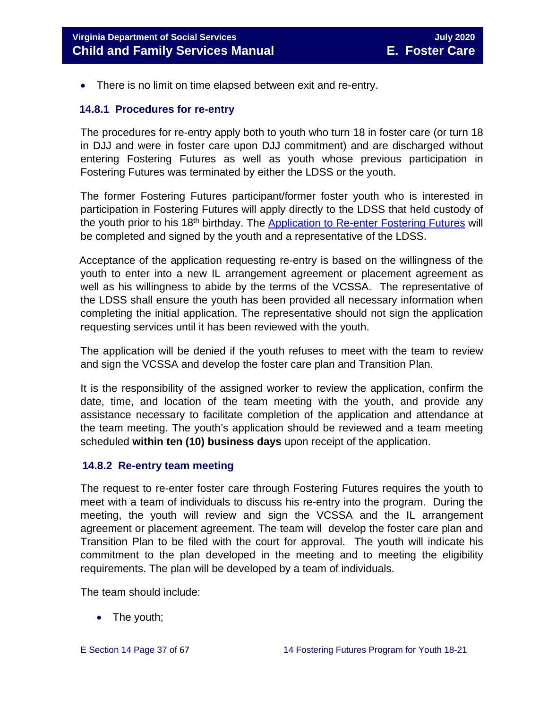• There is no limit on time elapsed between exit and re-entry.

#### <span id="page-36-0"></span> **14.8.1 Procedures for re-entry**

The procedures for re-entry apply both to youth who turn 18 in foster care (or turn 18 in DJJ and were in foster care upon DJJ commitment) and are discharged without entering Fostering Futures as well as youth whose previous participation in Fostering Futures was terminated by either the LDSS or the youth.

The former Fostering Futures participant/former foster youth who is interested in participation in Fostering Futures will apply directly to the LDSS that held custody of the youth prior to his 18<sup>th</sup> birthday. The [Application to Re-enter Fostering Futures](https://fusion.dss.virginia.gov/Portals/%5Bdfs%5D/Files/DFS%20FORMS/Foster%20Care%20Forms/Application%20to%20Re-Enter%20Fostering%20Futures.pdf) will be completed and signed by the youth and a representative of the LDSS.

 Acceptance of the application requesting re-entry is based on the willingness of the youth to enter into a new IL arrangement agreement or placement agreement as well as his willingness to abide by the terms of the VCSSA. The representative of the LDSS shall ensure the youth has been provided all necessary information when completing the initial application. The representative should not sign the application requesting services until it has been reviewed with the youth.

The application will be denied if the youth refuses to meet with the team to review and sign the VCSSA and develop the foster care plan and Transition Plan.

It is the responsibility of the assigned worker to review the application, confirm the date, time, and location of the team meeting with the youth, and provide any assistance necessary to facilitate completion of the application and attendance at the team meeting. The youth's application should be reviewed and a team meeting scheduled **within ten (10) business days** upon receipt of the application.

#### <span id="page-36-1"></span> **14.8.2 Re-entry team meeting**

The request to re-enter foster care through Fostering Futures requires the youth to meet with a team of individuals to discuss his re-entry into the program. During the meeting, the youth will review and sign the VCSSA and the IL arrangement agreement or placement agreement. The team will develop the foster care plan and Transition Plan to be filed with the court for approval. The youth will indicate his commitment to the plan developed in the meeting and to meeting the eligibility requirements. The plan will be developed by a team of individuals.

The team should include:

• The youth;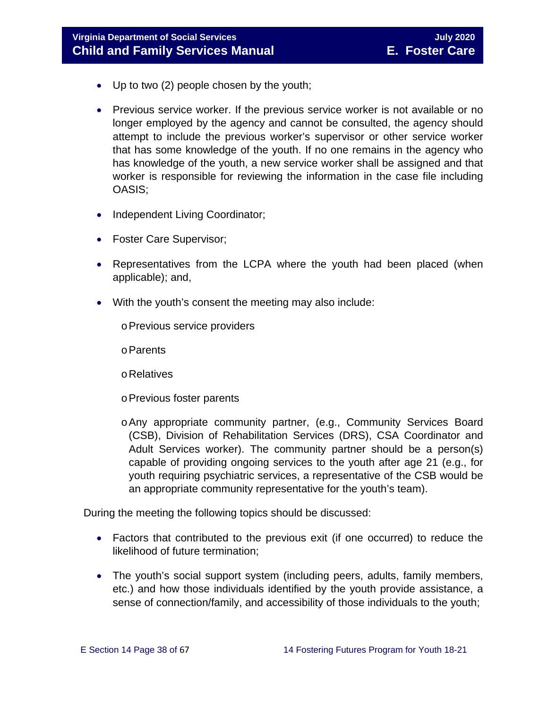- Up to two (2) people chosen by the youth;
- Previous service worker. If the previous service worker is not available or no longer employed by the agency and cannot be consulted, the agency should attempt to include the previous worker's supervisor or other service worker that has some knowledge of the youth. If no one remains in the agency who has knowledge of the youth, a new service worker shall be assigned and that worker is responsible for reviewing the information in the case file including OASIS;
- Independent Living Coordinator;
- Foster Care Supervisor;
- Representatives from the LCPA where the youth had been placed (when applicable); and,
- With the youth's consent the meeting may also include:
	- oPrevious service providers
	- oParents
	- oRelatives
	- oPrevious foster parents
	- oAny appropriate community partner, (e.g., Community Services Board (CSB), Division of Rehabilitation Services (DRS), CSA Coordinator and Adult Services worker). The community partner should be a person(s) capable of providing ongoing services to the youth after age 21 (e.g., for youth requiring psychiatric services, a representative of the CSB would be an appropriate community representative for the youth's team).

During the meeting the following topics should be discussed:

- Factors that contributed to the previous exit (if one occurred) to reduce the likelihood of future termination;
- The youth's social support system (including peers, adults, family members, etc.) and how those individuals identified by the youth provide assistance, a sense of connection/family, and accessibility of those individuals to the youth;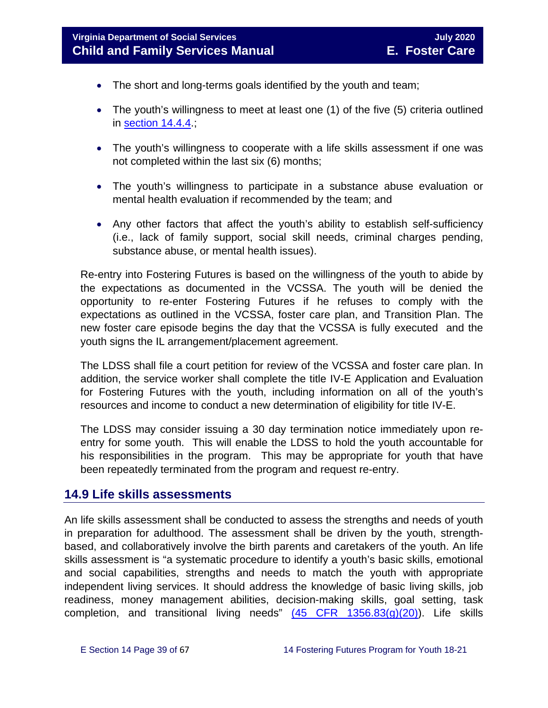- The short and long-terms goals identified by the youth and team;
- The youth's willingness to meet at least one (1) of the five (5) criteria outlined in [section 14.4.4.](#page-15-0);
- The youth's willingness to cooperate with a life skills assessment if one was not completed within the last six (6) months;
- The youth's willingness to participate in a substance abuse evaluation or mental health evaluation if recommended by the team; and
- Any other factors that affect the youth's ability to establish self-sufficiency (i.e., lack of family support, social skill needs, criminal charges pending, substance abuse, or mental health issues).

Re-entry into Fostering Futures is based on the willingness of the youth to abide by the expectations as documented in the VCSSA. The youth will be denied the opportunity to re-enter Fostering Futures if he refuses to comply with the expectations as outlined in the VCSSA, foster care plan, and Transition Plan. The new foster care episode begins the day that the VCSSA is fully executed and the youth signs the IL arrangement/placement agreement.

The LDSS shall file a court petition for review of the VCSSA and foster care plan. In addition, the service worker shall complete the title IV-E Application and Evaluation for Fostering Futures with the youth, including information on all of the youth's resources and income to conduct a new determination of eligibility for title IV-E.

The LDSS may consider issuing a 30 day termination notice immediately upon reentry for some youth. This will enable the LDSS to hold the youth accountable for his responsibilities in the program. This may be appropriate for youth that have been repeatedly terminated from the program and request re-entry.

#### <span id="page-38-0"></span>**14.9 Life skills assessments**

An life skills assessment shall be conducted to assess the strengths and needs of youth in preparation for adulthood. The assessment shall be driven by the youth, strengthbased, and collaboratively involve the birth parents and caretakers of the youth. An life skills assessment is "a systematic procedure to identify a youth's basic skills, emotional and social capabilities, strengths and needs to match the youth with appropriate independent living services. It should address the knowledge of basic living skills, job readiness, money management abilities, decision-making skills, goal setting, task completion, and transitional living needs"  $(45$  CFR  $1356.83(g)(20)$ ). Life skills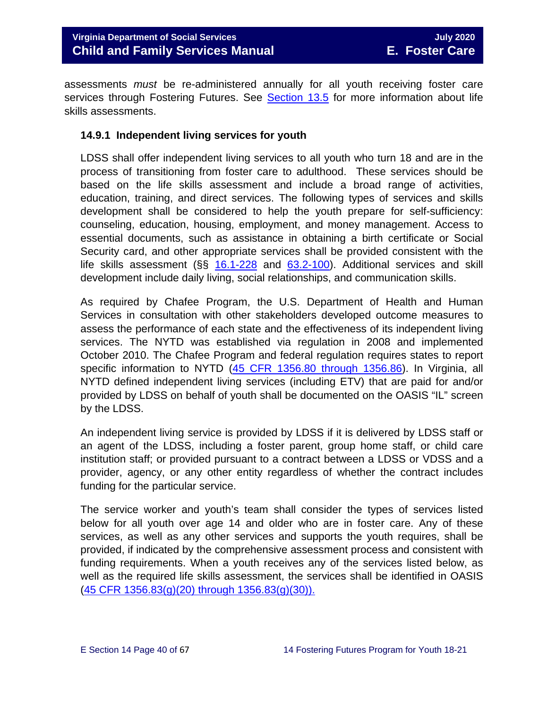assessments *must* be re-administered annually for all youth receiving foster care services through Fostering Futures. See [Section 13.5](https://fusion.dss.virginia.gov/Portals/%5bdfs%5d/Files/DFS%20Manuals/Foster%20Care%20Manuals/Foster%20Care%20Manual%2007-2020/Final%20Foster%20Care%20Manual%2007-2020/Section_13_achieving_permanency_for_older_youth.pdf#page=11) for more information about life skills assessments.

#### <span id="page-39-0"></span>**14.9.1 Independent living services for youth**

LDSS shall offer independent living services to all youth who turn 18 and are in the process of transitioning from foster care to adulthood. These services should be based on the life skills assessment and include a broad range of activities, education, training, and direct services. The following types of services and skills development shall be considered to help the youth prepare for self-sufficiency: counseling, education, housing, employment, and money management. Access to essential documents, such as assistance in obtaining a birth certificate or Social Security card, and other appropriate services shall be provided consistent with the life skills assessment (§§ [16.1-228](https://law.lis.virginia.gov/vacode/16.1-228/) and [63.2-100\)](https://law.lis.virginia.gov/vacode/title63.2/chapter1/section63.2-100/). Additional services and skill development include daily living, social relationships, and communication skills.

As required by Chafee Program, the U.S. Department of Health and Human Services in consultation with other stakeholders developed outcome measures to assess the performance of each state and the effectiveness of its independent living services. The NYTD was established via regulation in 2008 and implemented October 2010. The Chafee Program and federal regulation requires states to report specific information to NYTD [\(45 CFR 1356.80 through 1356.86\)](https://www.law.cornell.edu/cfr/text/45/1356.83). In Virginia, all NYTD defined independent living services (including ETV) that are paid for and/or provided by LDSS on behalf of youth shall be documented on the OASIS "IL" screen by the LDSS.

An independent living service is provided by LDSS if it is delivered by LDSS staff or an agent of the LDSS, including a foster parent, group home staff, or child care institution staff; or provided pursuant to a contract between a LDSS or VDSS and a provider, agency, or any other entity regardless of whether the contract includes funding for the particular service.

The service worker and youth's team shall consider the types of services listed below for all youth over age 14 and older who are in foster care. Any of these services, as well as any other services and supports the youth requires, shall be provided, if indicated by the comprehensive assessment process and consistent with funding requirements. When a youth receives any of the services listed below, as well as the required life skills assessment, the services shall be identified in OASIS [\(45 CFR 1356.83\(g\)\(20\) through 1356.83\(g\)\(30\)\).](https://www.law.cornell.edu/cfr/text/45/1356.83)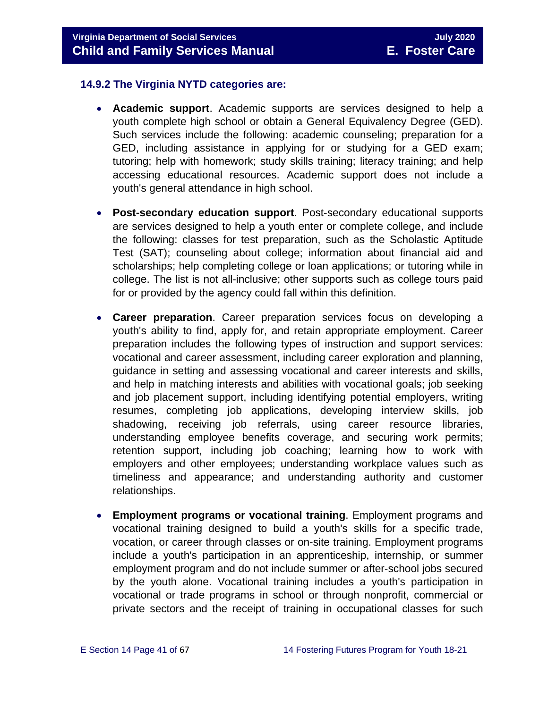#### <span id="page-40-0"></span>**14.9.2 The Virginia NYTD categories are:**

- **Academic support**. Academic supports are services designed to help a youth complete high school or obtain a General Equivalency Degree (GED). Such services include the following: academic counseling; preparation for a GED, including assistance in applying for or studying for a GED exam; tutoring; help with homework; study skills training; literacy training; and help accessing educational resources. Academic support does not include a youth's general attendance in high school.
- **Post-secondary education support**. Post-secondary educational supports are services designed to help a youth enter or complete college, and include the following: classes for test preparation, such as the Scholastic Aptitude Test (SAT); counseling about college; information about financial aid and scholarships; help completing college or loan applications; or tutoring while in college. The list is not all-inclusive; other supports such as college tours paid for or provided by the agency could fall within this definition.
- **Career preparation**. Career preparation services focus on developing a youth's ability to find, apply for, and retain appropriate employment. Career preparation includes the following types of instruction and support services: vocational and career assessment, including career exploration and planning, guidance in setting and assessing vocational and career interests and skills, and help in matching interests and abilities with vocational goals; job seeking and job placement support, including identifying potential employers, writing resumes, completing job applications, developing interview skills, job shadowing, receiving job referrals, using career resource libraries, understanding employee benefits coverage, and securing work permits; retention support, including job coaching; learning how to work with employers and other employees; understanding workplace values such as timeliness and appearance; and understanding authority and customer relationships.
- **Employment programs or vocational training**. Employment programs and vocational training designed to build a youth's skills for a specific trade, vocation, or career through classes or on-site training. Employment programs include a youth's participation in an apprenticeship, internship, or summer employment program and do not include summer or after-school jobs secured by the youth alone. Vocational training includes a youth's participation in vocational or trade programs in school or through nonprofit, commercial or private sectors and the receipt of training in occupational classes for such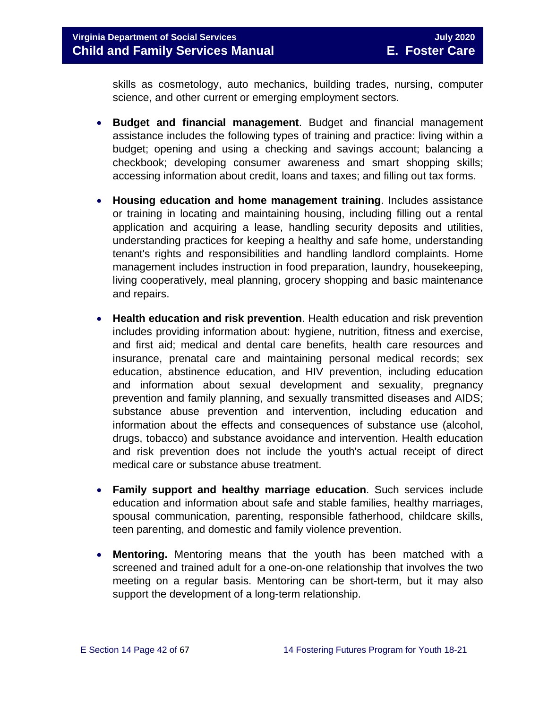skills as cosmetology, auto mechanics, building trades, nursing, computer science, and other current or emerging employment sectors.

- **Budget and financial management**. Budget and financial management assistance includes the following types of training and practice: living within a budget; opening and using a checking and savings account; balancing a checkbook; developing consumer awareness and smart shopping skills; accessing information about credit, loans and taxes; and filling out tax forms.
- **Housing education and home management training**. Includes assistance or training in locating and maintaining housing, including filling out a rental application and acquiring a lease, handling security deposits and utilities, understanding practices for keeping a healthy and safe home, understanding tenant's rights and responsibilities and handling landlord complaints. Home management includes instruction in food preparation, laundry, housekeeping, living cooperatively, meal planning, grocery shopping and basic maintenance and repairs.
- **Health education and risk prevention**. Health education and risk prevention includes providing information about: hygiene, nutrition, fitness and exercise, and first aid; medical and dental care benefits, health care resources and insurance, prenatal care and maintaining personal medical records; sex education, abstinence education, and HIV prevention, including education and information about sexual development and sexuality, pregnancy prevention and family planning, and sexually transmitted diseases and AIDS; substance abuse prevention and intervention, including education and information about the effects and consequences of substance use (alcohol, drugs, tobacco) and substance avoidance and intervention. Health education and risk prevention does not include the youth's actual receipt of direct medical care or substance abuse treatment.
- **Family support and healthy marriage education**. Such services include education and information about safe and stable families, healthy marriages, spousal communication, parenting, responsible fatherhood, childcare skills, teen parenting, and domestic and family violence prevention.
- **Mentoring.** Mentoring means that the youth has been matched with a screened and trained adult for a one-on-one relationship that involves the two meeting on a regular basis. Mentoring can be short-term, but it may also support the development of a long-term relationship.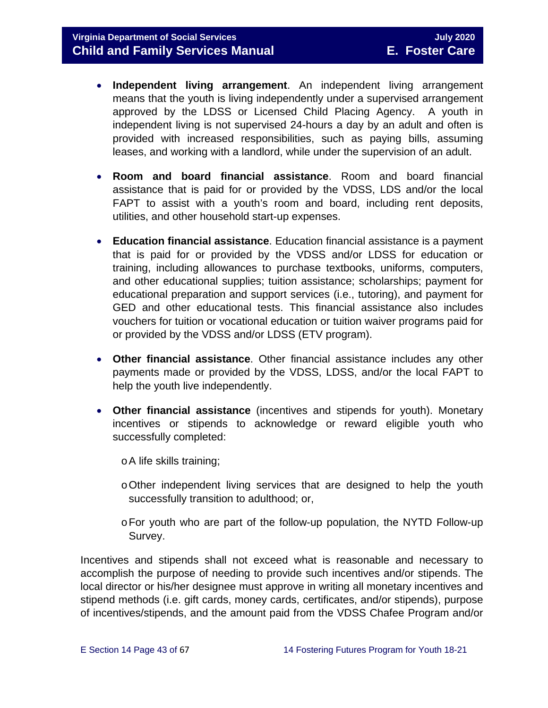- **Independent living arrangement**. An independent living arrangement means that the youth is living independently under a supervised arrangement approved by the LDSS or Licensed Child Placing Agency. A youth in independent living is not supervised 24-hours a day by an adult and often is provided with increased responsibilities, such as paying bills, assuming leases, and working with a landlord, while under the supervision of an adult.
- **Room and board financial assistance**. Room and board financial assistance that is paid for or provided by the VDSS, LDS and/or the local FAPT to assist with a youth's room and board, including rent deposits, utilities, and other household start-up expenses.
- **Education financial assistance**. Education financial assistance is a payment that is paid for or provided by the VDSS and/or LDSS for education or training, including allowances to purchase textbooks, uniforms, computers, and other educational supplies; tuition assistance; scholarships; payment for educational preparation and support services (i.e., tutoring), and payment for GED and other educational tests. This financial assistance also includes vouchers for tuition or vocational education or tuition waiver programs paid for or provided by the VDSS and/or LDSS (ETV program).
- **Other financial assistance**. Other financial assistance includes any other payments made or provided by the VDSS, LDSS, and/or the local FAPT to help the youth live independently.
- **Other financial assistance** (incentives and stipends for youth). Monetary incentives or stipends to acknowledge or reward eligible youth who successfully completed:
	- oA life skills training;
	- oOther independent living services that are designed to help the youth successfully transition to adulthood; or,
	- oFor youth who are part of the follow-up population, the NYTD Follow-up Survey.

Incentives and stipends shall not exceed what is reasonable and necessary to accomplish the purpose of needing to provide such incentives and/or stipends. The local director or his/her designee must approve in writing all monetary incentives and stipend methods (i.e. gift cards, money cards, certificates, and/or stipends), purpose of incentives/stipends, and the amount paid from the VDSS Chafee Program and/or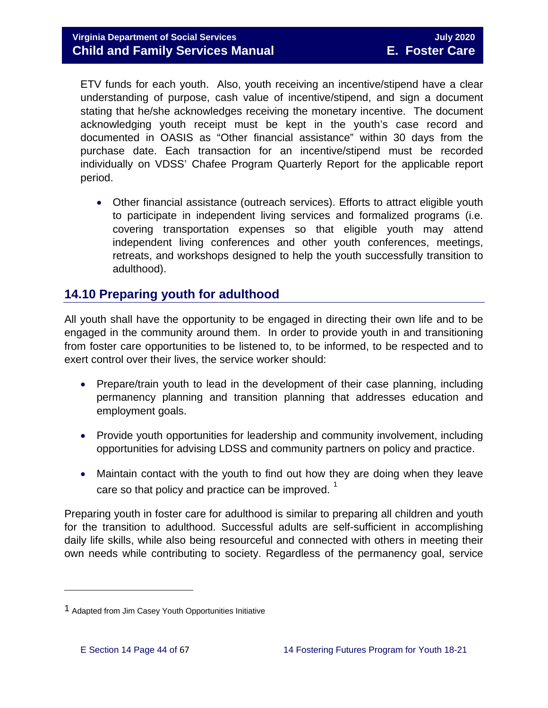ETV funds for each youth. Also, youth receiving an incentive/stipend have a clear understanding of purpose, cash value of incentive/stipend, and sign a document stating that he/she acknowledges receiving the monetary incentive. The document acknowledging youth receipt must be kept in the youth's case record and documented in OASIS as "Other financial assistance" within 30 days from the purchase date. Each transaction for an incentive/stipend must be recorded individually on VDSS' Chafee Program Quarterly Report for the applicable report period.

• Other financial assistance (outreach services). Efforts to attract eligible youth to participate in independent living services and formalized programs (i.e. covering transportation expenses so that eligible youth may attend independent living conferences and other youth conferences, meetings, retreats, and workshops designed to help the youth successfully transition to adulthood).

## <span id="page-43-0"></span>**14.10 Preparing youth for adulthood**

All youth shall have the opportunity to be engaged in directing their own life and to be engaged in the community around them. In order to provide youth in and transitioning from foster care opportunities to be listened to, to be informed, to be respected and to exert control over their lives, the service worker should:

- Prepare/train youth to lead in the development of their case planning, including permanency planning and transition planning that addresses education and employment goals.
- Provide youth opportunities for leadership and community involvement, including opportunities for advising LDSS and community partners on policy and practice.
- Maintain contact with the youth to find out how they are doing when they leave care so that policy and practice can be improved.  $1$

Preparing youth in foster care for adulthood is similar to preparing all children and youth for the transition to adulthood. Successful adults are self-sufficient in accomplishing daily life skills, while also being resourceful and connected with others in meeting their own needs while contributing to society. Regardless of the permanency goal, service

 $\overline{\phantom{a}}$ 

<span id="page-43-1"></span><sup>1</sup> Adapted from Jim Casey Youth Opportunities Initiative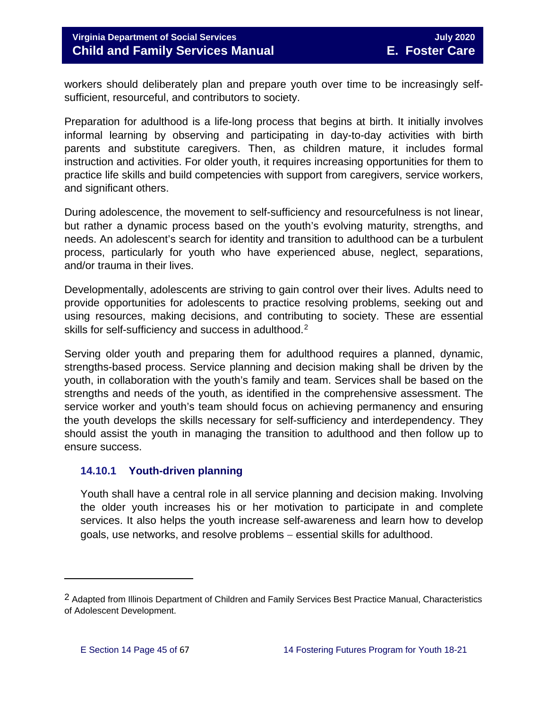workers should deliberately plan and prepare youth over time to be increasingly selfsufficient, resourceful, and contributors to society.

Preparation for adulthood is a life-long process that begins at birth. It initially involves informal learning by observing and participating in day-to-day activities with birth parents and substitute caregivers. Then, as children mature, it includes formal instruction and activities. For older youth, it requires increasing opportunities for them to practice life skills and build competencies with support from caregivers, service workers, and significant others.

During adolescence, the movement to self-sufficiency and resourcefulness is not linear, but rather a dynamic process based on the youth's evolving maturity, strengths, and needs. An adolescent's search for identity and transition to adulthood can be a turbulent process, particularly for youth who have experienced abuse, neglect, separations, and/or trauma in their lives.

Developmentally, adolescents are striving to gain control over their lives. Adults need to provide opportunities for adolescents to practice resolving problems, seeking out and using resources, making decisions, and contributing to society. These are essential skills for self-sufficiency and success in adulthood.<sup>[2](#page-44-1)</sup>

Serving older youth and preparing them for adulthood requires a planned, dynamic, strengths-based process. Service planning and decision making shall be driven by the youth, in collaboration with the youth's family and team. Services shall be based on the strengths and needs of the youth, as identified in the comprehensive assessment. The service worker and youth's team should focus on achieving permanency and ensuring the youth develops the skills necessary for self-sufficiency and interdependency. They should assist the youth in managing the transition to adulthood and then follow up to ensure success.

#### <span id="page-44-0"></span>**14.10.1 Youth-driven planning**

Youth shall have a central role in all service planning and decision making. Involving the older youth increases his or her motivation to participate in and complete services. It also helps the youth increase self-awareness and learn how to develop goals, use networks, and resolve problems − essential skills for adulthood.

 $\overline{\phantom{a}}$ 

<span id="page-44-1"></span><sup>2</sup> Adapted from Illinois Department of Children and Family Services Best Practice Manual, Characteristics of Adolescent Development.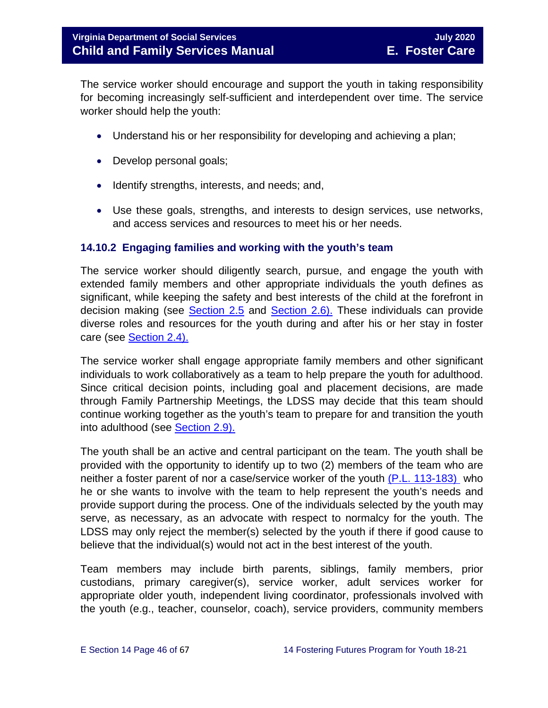The service worker should encourage and support the youth in taking responsibility for becoming increasingly self-sufficient and interdependent over time. The service worker should help the youth:

- Understand his or her responsibility for developing and achieving a plan;
- Develop personal goals;
- Identify strengths, interests, and needs; and,
- Use these goals, strengths, and interests to design services, use networks, and access services and resources to meet his or her needs.

#### <span id="page-45-0"></span>**14.10.2 Engaging families and working with the youth's team**

The service worker should diligently search, pursue, and engage the youth with extended family members and other appropriate individuals the youth defines as significant, while keeping the safety and best interests of the child at the forefront in decision making (see [Section 2.5](https://fusion.dss.virginia.gov/Portals/%5bdfs%5d/Files/DFS%20Manuals/Foster%20Care%20Manuals/Foster%20Care%20Manual%2007-2020/Final%20Foster%20Care%20Manual%2007-2020/section_2_engaging_the_child_family_and_significant_adults.pdf#page=10) and [Section 2.6\).](https://fusion.dss.virginia.gov/Portals/%5bdfs%5d/Files/DFS%20Manuals/Foster%20Care%20Manuals/Foster%20Care%20Manual%2007-2020/Final%20Foster%20Care%20Manual%2007-2020/section_2_engaging_the_child_family_and_significant_adults.pdf#page=13) These individuals can provide diverse roles and resources for the youth during and after his or her stay in foster care (see [Section 2.4\).](https://fusion.dss.virginia.gov/Portals/%5bdfs%5d/Files/DFS%20Manuals/Foster%20Care%20Manuals/Foster%20Care%20Manual%2007-2020/Final%20Foster%20Care%20Manual%2007-2020/section_2_engaging_the_child_family_and_significant_adults.pdf#page=8)

The service worker shall engage appropriate family members and other significant individuals to work collaboratively as a team to help prepare the youth for adulthood. Since critical decision points, including goal and placement decisions, are made through Family Partnership Meetings, the LDSS may decide that this team should continue working together as the youth's team to prepare for and transition the youth into adulthood (see [Section 2.9\).](https://fusion.dss.virginia.gov/Portals/%5bdfs%5d/Files/DFS%20Manuals/Foster%20Care%20Manuals/Foster%20Care%20Manual%2007-2020/Final%20Foster%20Care%20Manual%2007-2020/section_2_engaging_the_child_family_and_significant_adults.pdf#page=19)

The youth shall be an active and central participant on the team. The youth shall be provided with the opportunity to identify up to two (2) members of the team who are neither a foster parent of nor a case/service worker of the youth [\(P.L. 113-183\)](https://www.congress.gov/113/plaws/publ183/PLAW-113publ183.pdf) who he or she wants to involve with the team to help represent the youth's needs and provide support during the process. One of the individuals selected by the youth may serve, as necessary, as an advocate with respect to normalcy for the youth. The LDSS may only reject the member(s) selected by the youth if there if good cause to believe that the individual(s) would not act in the best interest of the youth.

Team members may include birth parents, siblings, family members, prior custodians, primary caregiver(s), service worker, adult services worker for appropriate older youth, independent living coordinator, professionals involved with the youth (e.g., teacher, counselor, coach), service providers, community members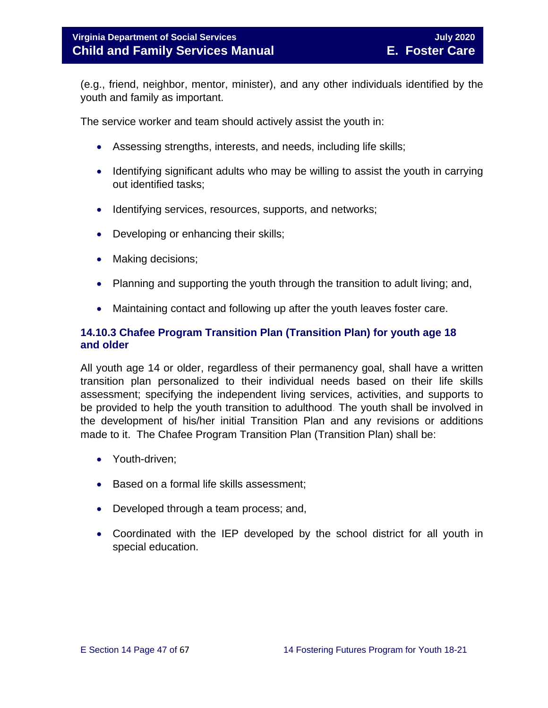(e.g., friend, neighbor, mentor, minister), and any other individuals identified by the youth and family as important.

The service worker and team should actively assist the youth in:

- Assessing strengths, interests, and needs, including life skills;
- Identifying significant adults who may be willing to assist the youth in carrying out identified tasks;
- Identifying services, resources, supports, and networks;
- Developing or enhancing their skills;
- Making decisions;
- Planning and supporting the youth through the transition to adult living; and,
- Maintaining contact and following up after the youth leaves foster care.

#### <span id="page-46-0"></span>**14.10.3 Chafee Program Transition Plan (Transition Plan) for youth age 18 and older**

All youth age 14 or older, regardless of their permanency goal, shall have a written transition plan personalized to their individual needs based on their life skills assessment; specifying the independent living services, activities, and supports to be provided to help the youth transition to adulthood. The youth shall be involved in the development of his/her initial Transition Plan and any revisions or additions made to it. The Chafee Program Transition Plan (Transition Plan) shall be:

- Youth-driven;
- Based on a formal life skills assessment:
- Developed through a team process; and,
- Coordinated with the IEP developed by the school district for all youth in special education.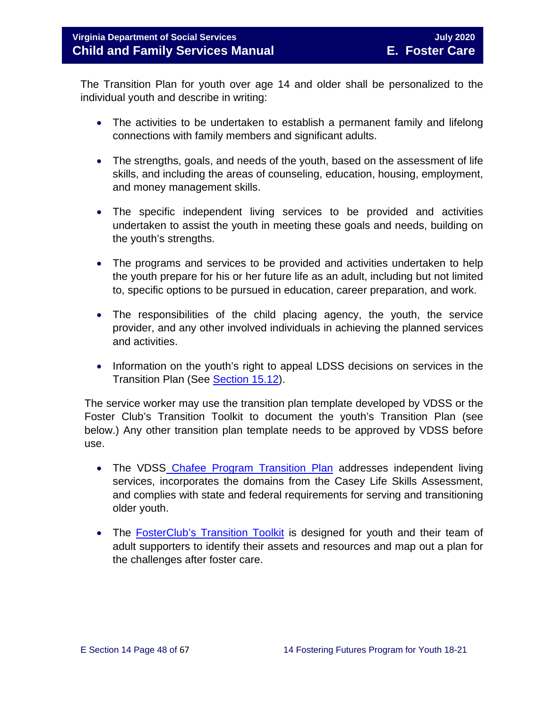The Transition Plan for youth over age 14 and older shall be personalized to the individual youth and describe in writing:

- The activities to be undertaken to establish a permanent family and lifelong connections with family members and significant adults.
- The strengths, goals, and needs of the youth, based on the assessment of life skills, and including the areas of counseling, education, housing, employment, and money management skills.
- The specific independent living services to be provided and activities undertaken to assist the youth in meeting these goals and needs, building on the youth's strengths.
- The programs and services to be provided and activities undertaken to help the youth prepare for his or her future life as an adult, including but not limited to, specific options to be pursued in education, career preparation, and work.
- The responsibilities of the child placing agency, the youth, the service provider, and any other involved individuals in achieving the planned services and activities.
- Information on the youth's right to appeal LDSS decisions on services in the Transition Plan (See [Section 15.12\)](https://fusion.dss.virginia.gov/Portals/%5bdfs%5d/Files/DFS%20Manuals/Foster%20Care%20Manuals/Foster%20Care%20Manual%2007-2020/section_15_developing_service_plan.pdf#page=17).

The service worker may use the transition plan template developed by VDSS or the Foster Club's Transition Toolkit to document the youth's Transition Plan (see below.) Any other transition plan template needs to be approved by VDSS before use.

- The VDSS [Chafee Program Transition Plan](https://fusion.dss.virginia.gov/Portals/%5Bdfs%5D/Files/DFS%20FORMS/Foster%20Care%20Forms/Chafee%20Program%20Transition%20Plan.docx) addresses independent living services, incorporates the domains from the Casey Life Skills Assessment, and complies with state and federal requirements for serving and transitioning older youth.
- The [FosterClub's Transition Toolkit](https://www.fosterclub.com/_transition/article/transition-toolkit) is designed for youth and their team of adult supporters to identify their assets and resources and map out a plan for the challenges after foster care.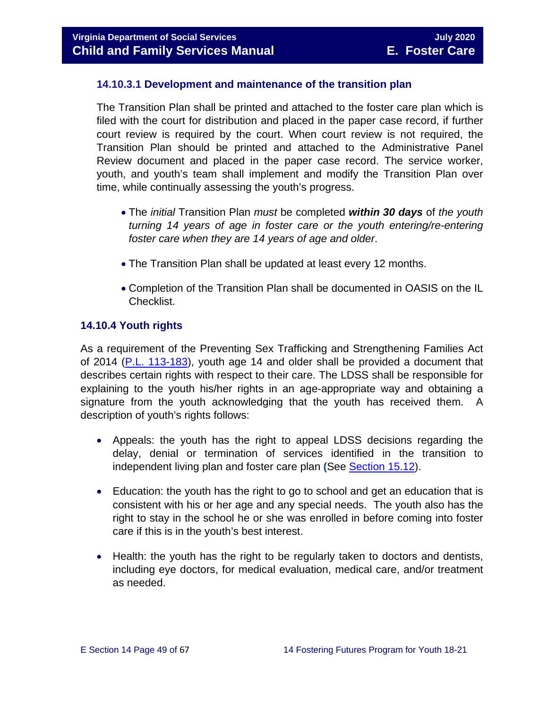#### **14.10.3.1 Development and maintenance of the transition plan**

The Transition Plan shall be printed and attached to the foster care plan which is filed with the court for distribution and placed in the paper case record, if further court review is required by the court. When court review is not required, the Transition Plan should be printed and attached to the Administrative Panel Review document and placed in the paper case record. The service worker, youth, and youth's team shall implement and modify the Transition Plan over time, while continually assessing the youth's progress.

- The *initial* Transition Plan *must* be completed *within 30 days* of *the youth turning 14 years of age in foster care or the youth entering/re-entering foster care when they are 14 years of age and older*.
- The Transition Plan shall be updated at least every 12 months.
- Completion of the Transition Plan shall be documented in OASIS on the IL Checklist.

#### <span id="page-48-0"></span>**14.10.4 Youth rights**

As a requirement of the Preventing Sex Trafficking and Strengthening Families Act of 2014 [\(P.L. 113-183\)](https://www.congress.gov/113/plaws/publ183/PLAW-113publ183.pdf), youth age 14 and older shall be provided a document that describes certain rights with respect to their care. The LDSS shall be responsible for explaining to the youth his/her rights in an age-appropriate way and obtaining a signature from the youth acknowledging that the youth has received them. A description of youth's rights follows:

- Appeals: the youth has the right to appeal LDSS decisions regarding the delay, denial or termination of services identified in the transition to independent living plan and foster care plan **(**See [Section 15.12\)](https://fusion.dss.virginia.gov/Portals/%5bdfs%5d/Files/DFS%20Manuals/Foster%20Care%20Manuals/Foster%20Care%20Manual%2007-2020/section_15_developing_service_plan.pdf#page=17).
- Education: the youth has the right to go to school and get an education that is consistent with his or her age and any special needs. The youth also has the right to stay in the school he or she was enrolled in before coming into foster care if this is in the youth's best interest.
- Health: the youth has the right to be regularly taken to doctors and dentists, including eye doctors, for medical evaluation, medical care, and/or treatment as needed.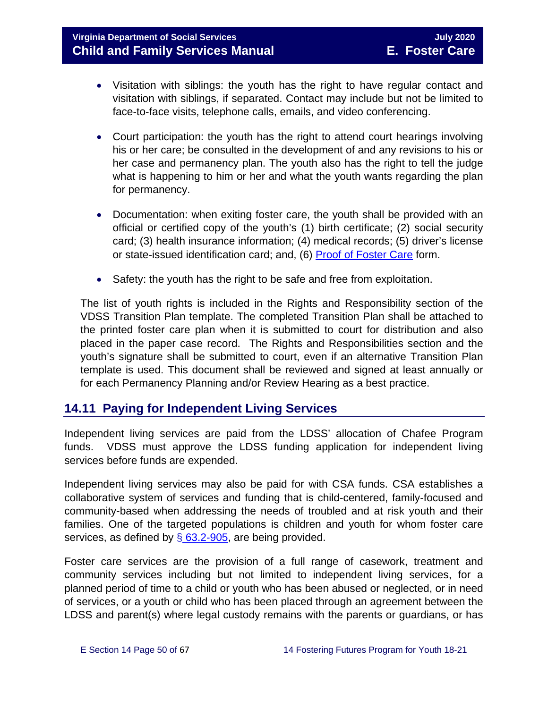- Visitation with siblings: the youth has the right to have regular contact and visitation with siblings, if separated. Contact may include but not be limited to face-to-face visits, telephone calls, emails, and video conferencing.
- Court participation: the youth has the right to attend court hearings involving his or her care; be consulted in the development of and any revisions to his or her case and permanency plan. The youth also has the right to tell the judge what is happening to him or her and what the youth wants regarding the plan for permanency.
- Documentation: when exiting foster care, the youth shall be provided with an official or certified copy of the youth's (1) birth certificate; (2) social security card; (3) health insurance information; (4) medical records; (5) driver's license or state-issued identification card; and, (6) [Proof of Foster Care](https://fusion.dss.virginia.gov/dfs/DFS-Home/Foster-Care/Foster-Care-Forms) form.
- Safety: the youth has the right to be safe and free from exploitation.

The list of youth rights is included in the Rights and Responsibility section of the VDSS Transition Plan template. The completed Transition Plan shall be attached to the printed foster care plan when it is submitted to court for distribution and also placed in the paper case record. The Rights and Responsibilities section and the youth's signature shall be submitted to court, even if an alternative Transition Plan template is used. This document shall be reviewed and signed at least annually or for each Permanency Planning and/or Review Hearing as a best practice.

## <span id="page-49-0"></span>**14.11 Paying for Independent Living Services**

Independent living services are paid from the LDSS' allocation of Chafee Program funds. VDSS must approve the LDSS funding application for independent living services before funds are expended.

Independent living services may also be paid for with CSA funds. CSA establishes a collaborative system of services and funding that is child-centered, family-focused and community-based when addressing the needs of troubled and at risk youth and their families. One of the targeted populations is children and youth for whom foster care services, as defined by  $\S$  [63.2-905,](https://law.lis.virginia.gov/vacode/title63.2/chapter9/section63.2-905/) are being provided.

Foster care services are the provision of a full range of casework, treatment and community services including but not limited to independent living services, for a planned period of time to a child or youth who has been abused or neglected, or in need of services, or a youth or child who has been placed through an agreement between the LDSS and parent(s) where legal custody remains with the parents or guardians, or has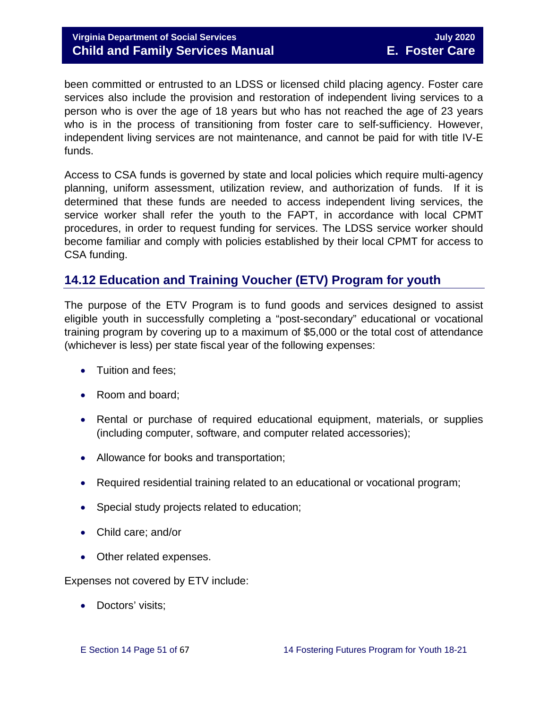#### **Virginia Department of Social Services** July **2020 Child and Family Services Manual E. Foster Care**

been committed or entrusted to an LDSS or licensed child placing agency. Foster care services also include the provision and restoration of independent living services to a person who is over the age of 18 years but who has not reached the age of 23 years who is in the process of transitioning from foster care to self-sufficiency. However, independent living services are not maintenance, and cannot be paid for with title IV-E funds.

Access to CSA funds is governed by state and local policies which require multi-agency planning, uniform assessment, utilization review, and authorization of funds. If it is determined that these funds are needed to access independent living services, the service worker shall refer the youth to the FAPT, in accordance with local CPMT procedures, in order to request funding for services. The LDSS service worker should become familiar and comply with policies established by their local CPMT for access to CSA funding.

## <span id="page-50-0"></span>**14.12 Education and Training Voucher (ETV) Program for youth**

The purpose of the ETV Program is to fund goods and services designed to assist eligible youth in successfully completing a "post-secondary" educational or vocational training program by covering up to a maximum of \$5,000 or the total cost of attendance (whichever is less) per state fiscal year of the following expenses:

- Tuition and fees;
- Room and board;
- Rental or purchase of required educational equipment, materials, or supplies (including computer, software, and computer related accessories);
- Allowance for books and transportation;
- Required residential training related to an educational or vocational program;
- Special study projects related to education;
- Child care; and/or
- Other related expenses.

Expenses not covered by ETV include:

• Doctors' visits;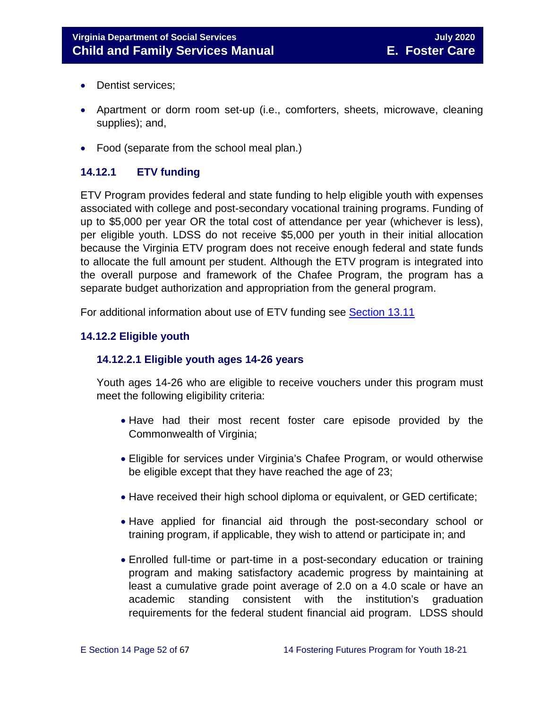- Dentist services;
- Apartment or dorm room set-up (i.e., comforters, sheets, microwave, cleaning supplies); and,
- Food (separate from the school meal plan.)

### <span id="page-51-0"></span>**14.12.1 ETV funding**

ETV Program provides federal and state funding to help eligible youth with expenses associated with college and post-secondary vocational training programs. Funding of up to \$5,000 per year OR the total cost of attendance per year (whichever is less), per eligible youth. LDSS do not receive \$5,000 per youth in their initial allocation because the Virginia ETV program does not receive enough federal and state funds to allocate the full amount per student. Although the ETV program is integrated into the overall purpose and framework of the Chafee Program, the program has a separate budget authorization and appropriation from the general program.

For additional information about use of ETV funding see [Section 13.11](https://fusion.dss.virginia.gov/Portals/%5bdfs%5d/Files/DFS%20Manuals/Foster%20Care%20Manuals/Foster%20Care%20Manual%2007-2020/Section_13_achieving_permanency_for_older_youth.pdf#page=26)

#### <span id="page-51-1"></span>**14.12.2 Eligible youth**

#### **14.12.2.1 Eligible youth ages 14-26 years**

Youth ages 14-26 who are eligible to receive vouchers under this program must meet the following eligibility criteria:

- Have had their most recent foster care episode provided by the Commonwealth of Virginia;
- Eligible for services under Virginia's Chafee Program, or would otherwise be eligible except that they have reached the age of 23;
- Have received their high school diploma or equivalent, or GED certificate;
- Have applied for financial aid through the post-secondary school or training program, if applicable, they wish to attend or participate in; and
- Enrolled full-time or part-time in a post-secondary education or training program and making satisfactory academic progress by maintaining at least a cumulative grade point average of 2.0 on a 4.0 scale or have an academic standing consistent with the institution's graduation requirements for the federal student financial aid program. LDSS should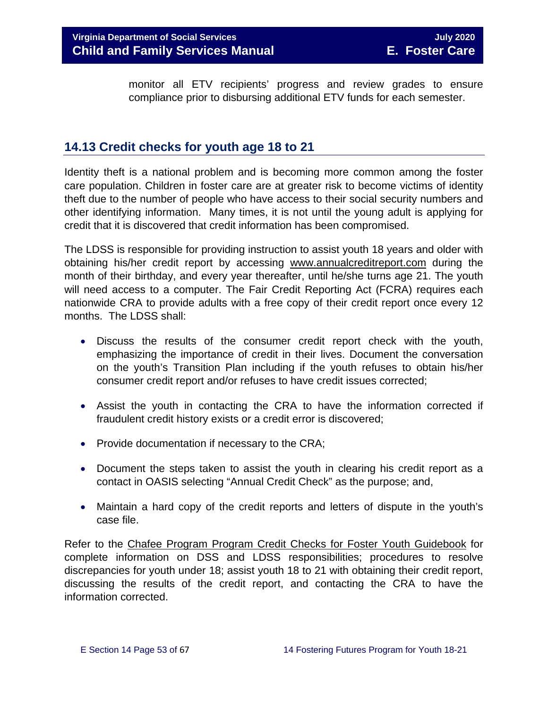monitor all ETV recipients' progress and review grades to ensure compliance prior to disbursing additional ETV funds for each semester.

## <span id="page-52-0"></span>**14.13 Credit checks for youth age 18 to 21**

Identity theft is a national problem and is becoming more common among the foster care population. Children in foster care are at greater risk to become victims of identity theft due to the number of people who have access to their social security numbers and other identifying information. Many times, it is not until the young adult is applying for credit that it is discovered that credit information has been compromised.

The LDSS is responsible for providing instruction to assist youth 18 years and older with obtaining his/her credit report by accessing [www.annualcreditreport.com](https://www.annualcreditreport.com/index.action) during the month of their birthday, and every year thereafter, until he/she turns age 21. The youth will need access to a computer. The Fair Credit Reporting Act (FCRA) requires each nationwide CRA to provide adults with a free copy of their credit report once every 12 months. The LDSS shall:

- Discuss the results of the consumer credit report check with the youth, emphasizing the importance of credit in their lives. Document the conversation on the youth's Transition Plan including if the youth refuses to obtain his/her consumer credit report and/or refuses to have credit issues corrected;
- Assist the youth in contacting the CRA to have the information corrected if fraudulent credit history exists or a credit error is discovered;
- Provide documentation if necessary to the CRA;
- Document the steps taken to assist the youth in clearing his credit report as a contact in OASIS selecting "Annual Credit Check" as the purpose; and,
- Maintain a hard copy of the credit reports and letters of dispute in the youth's case file.

Refer to the Chafee Program [Program Credit Checks for Foster Youth Guidebook](https://fusion.dss.virginia.gov/Portals/%5Bdfs%5D/Files/Foster%20Care/Job%20Aids%20%26%20Resources/Credit_Checks_Guidebook_.pdf) for complete information on DSS and LDSS responsibilities; procedures to resolve discrepancies for youth under 18; assist youth 18 to 21 with obtaining their credit report, discussing the results of the credit report, and contacting the CRA to have the information corrected.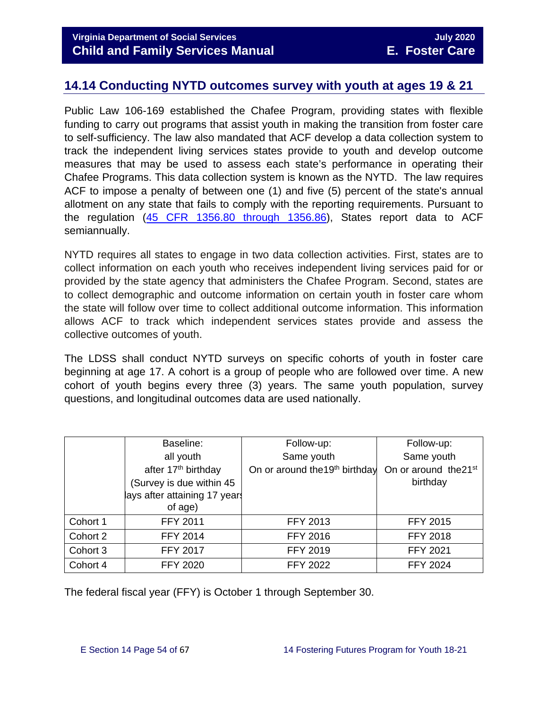## <span id="page-53-0"></span>**14.14 Conducting NYTD outcomes survey with youth at ages 19 & 21**

Public Law 106-169 established the Chafee Program, providing states with flexible funding to carry out programs that assist youth in making the transition from foster care to self-sufficiency. The law also mandated that ACF develop a data collection system to track the independent living services states provide to youth and develop outcome measures that may be used to assess each state's performance in operating their Chafee Programs. This data collection system is known as the NYTD. The law requires ACF to impose a penalty of between one (1) and five (5) percent of the state's annual allotment on any state that fails to comply with the reporting requirements. Pursuant to the regulation [\(45 CFR 1356.80 through 1356.86\)](http://www.ecfr.gov/cgi-bin/retrieveECFR?gp=1&SID=3d9be8b33d08994a45cff8aaff9f9476&ty=HTML&h=L&mc=true&r=PART&n=pt45.4.1356), States report data to ACF semiannually.

NYTD requires all states to engage in two data collection activities. First, states are to collect information on each youth who receives independent living services paid for or provided by the state agency that administers the Chafee Program. Second, states are to collect demographic and outcome information on certain youth in foster care whom the state will follow over time to collect additional outcome information. This information allows ACF to track which independent services states provide and assess the collective outcomes of youth.

The LDSS shall conduct NYTD surveys on specific cohorts of youth in foster care beginning at age 17. A cohort is a group of people who are followed over time. A new cohort of youth begins every three (3) years. The same youth population, survey questions, and longitudinal outcomes data are used nationally.

|          | Baseline:                       | Follow-up:                                 | Follow-up:                        |
|----------|---------------------------------|--------------------------------------------|-----------------------------------|
|          | all youth                       | Same youth                                 | Same youth                        |
|          | after 17 <sup>th</sup> birthday | On or around the 19 <sup>th</sup> birthday | On or around the 21 <sup>st</sup> |
|          | (Survey is due within 45        |                                            | birthday                          |
|          | lays after attaining 17 years   |                                            |                                   |
|          | of age)                         |                                            |                                   |
| Cohort 1 | FFY 2011                        | <b>FFY 2013</b>                            | <b>FFY 2015</b>                   |
| Cohort 2 | <b>FFY 2014</b>                 | <b>FFY 2016</b>                            | <b>FFY 2018</b>                   |
| Cohort 3 | <b>FFY 2017</b>                 | <b>FFY 2019</b>                            | <b>FFY 2021</b>                   |
| Cohort 4 | <b>FFY 2020</b>                 | <b>FFY 2022</b>                            | <b>FFY 2024</b>                   |

The federal fiscal year (FFY) is October 1 through September 30.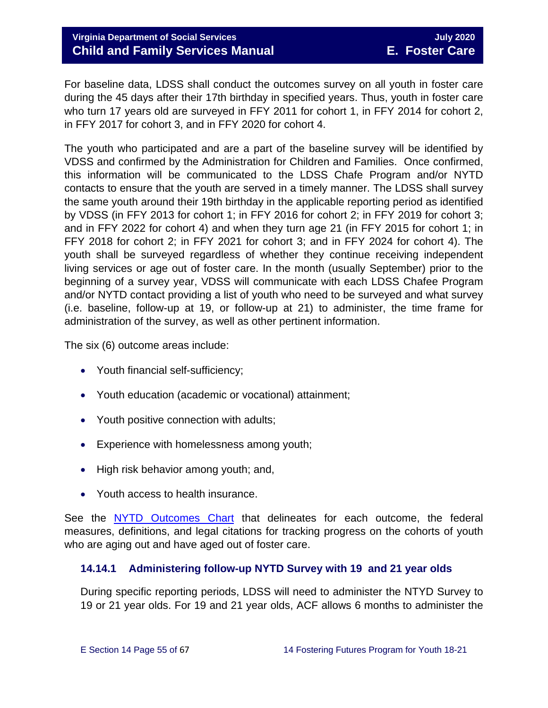For baseline data, LDSS shall conduct the outcomes survey on all youth in foster care during the 45 days after their 17th birthday in specified years. Thus, youth in foster care who turn 17 years old are surveyed in FFY 2011 for cohort 1, in FFY 2014 for cohort 2, in FFY 2017 for cohort 3, and in FFY 2020 for cohort 4.

The youth who participated and are a part of the baseline survey will be identified by VDSS and confirmed by the Administration for Children and Families. Once confirmed, this information will be communicated to the LDSS Chafe Program and/or NYTD contacts to ensure that the youth are served in a timely manner. The LDSS shall survey the same youth around their 19th birthday in the applicable reporting period as identified by VDSS (in FFY 2013 for cohort 1; in FFY 2016 for cohort 2; in FFY 2019 for cohort 3; and in FFY 2022 for cohort 4) and when they turn age 21 (in FFY 2015 for cohort 1; in FFY 2018 for cohort 2; in FFY 2021 for cohort 3; and in FFY 2024 for cohort 4). The youth shall be surveyed regardless of whether they continue receiving independent living services or age out of foster care. In the month (usually September) prior to the beginning of a survey year, VDSS will communicate with each LDSS Chafee Program and/or NYTD contact providing a list of youth who need to be surveyed and what survey (i.e. baseline, follow-up at 19, or follow-up at 21) to administer, the time frame for administration of the survey, as well as other pertinent information.

The six (6) outcome areas include:

- Youth financial self-sufficiency;
- Youth education (academic or vocational) attainment;
- Youth positive connection with adults;
- Experience with homelessness among youth;
- High risk behavior among youth; and,
- Youth access to health insurance.

See the [NYTD Outcomes Chart](https://fusion.dss.virginia.gov/dfs/DFS-Home/Foster-Care/Services-for-Older-Youth#NYTD) that delineates for each outcome, the federal measures, definitions, and legal citations for tracking progress on the cohorts of youth who are aging out and have aged out of foster care.

#### <span id="page-54-0"></span>**14.14.1 Administering follow-up NYTD Survey with 19 and 21 year olds**

During specific reporting periods, LDSS will need to administer the NTYD Survey to 19 or 21 year olds. For 19 and 21 year olds, ACF allows 6 months to administer the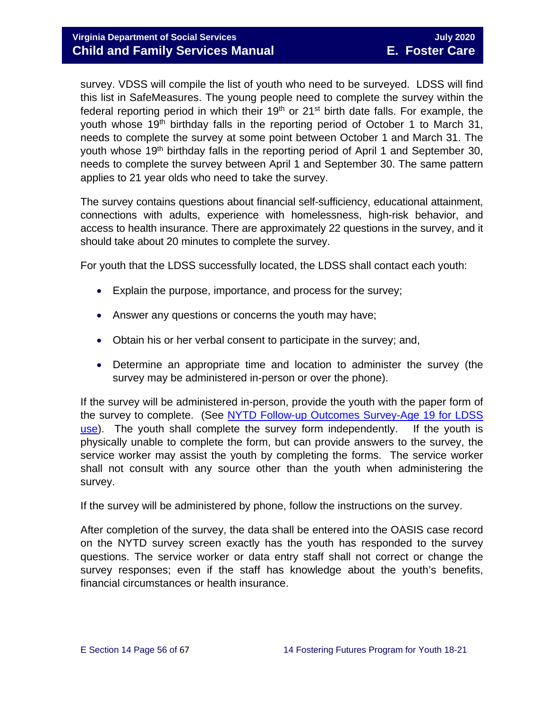survey. VDSS will compile the list of youth who need to be surveyed. LDSS will find this list in SafeMeasures. The young people need to complete the survey within the federal reporting period in which their  $19<sup>th</sup>$  or  $21<sup>st</sup>$  birth date falls. For example, the youth whose 19<sup>th</sup> birthday falls in the reporting period of October 1 to March 31, needs to complete the survey at some point between October 1 and March 31. The youth whose 19<sup>th</sup> birthday falls in the reporting period of April 1 and September 30, needs to complete the survey between April 1 and September 30. The same pattern applies to 21 year olds who need to take the survey.

The survey contains questions about financial self-sufficiency, educational attainment, connections with adults, experience with homelessness, high-risk behavior, and access to health insurance. There are approximately 22 questions in the survey, and it should take about 20 minutes to complete the survey.

For youth that the LDSS successfully located, the LDSS shall contact each youth:

- Explain the purpose, importance, and process for the survey;
- Answer any questions or concerns the youth may have;
- Obtain his or her verbal consent to participate in the survey; and,
- Determine an appropriate time and location to administer the survey (the survey may be administered in-person or over the phone).

If the survey will be administered in-person, provide the youth with the paper form of the survey to complete. (See [NYTD Follow-up Outcomes Survey-Age 19 for LDSS](https://fusion.dss.virginia.gov/dfs/DFS-Home/Foster-Care/Services-for-Older-Youth#NYTD)  [use\)](https://fusion.dss.virginia.gov/dfs/DFS-Home/Foster-Care/Services-for-Older-Youth#NYTD). The youth shall complete the survey form independently. If the youth is physically unable to complete the form, but can provide answers to the survey, the service worker may assist the youth by completing the forms. The service worker shall not consult with any source other than the youth when administering the survey.

If the survey will be administered by phone, follow the instructions on the survey.

After completion of the survey, the data shall be entered into the OASIS case record on the NYTD survey screen exactly has the youth has responded to the survey questions. The service worker or data entry staff shall not correct or change the survey responses; even if the staff has knowledge about the youth's benefits, financial circumstances or health insurance.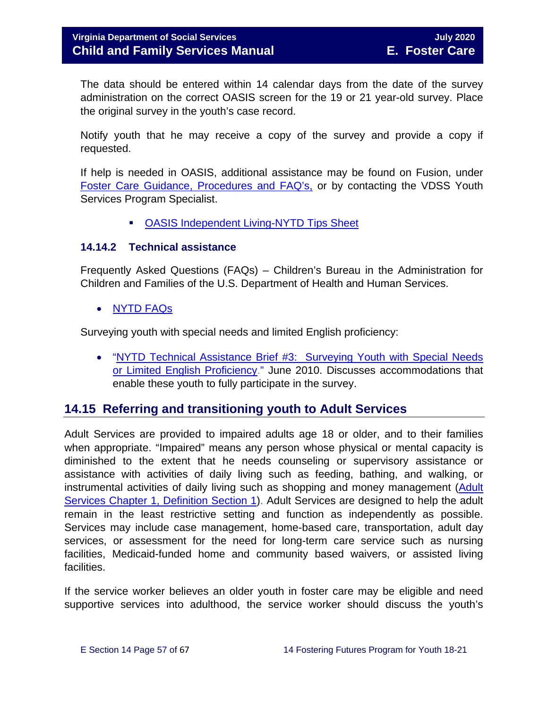The data should be entered within 14 calendar days from the date of the survey administration on the correct OASIS screen for the 19 or 21 year-old survey. Place the original survey in the youth's case record.

Notify youth that he may receive a copy of the survey and provide a copy if requested.

If help is needed in OASIS, additional assistance may be found on Fusion, under [Foster Care Guidance, Procedures and FAQ's,](https://fusion.dss.virginia.gov/dfs/DFS-Home/Foster-Care/Services-for-Older-Youth#NYTD) or by contacting the VDSS Youth Services Program Specialist.

**• [OASIS Independent Living-NYTD Tips Sheet](https://fusion.dss.virginia.gov/dfs/DFS-Home/Foster-Care/Services-for-Older-Youth#NYTD)** 

#### <span id="page-56-0"></span>**14.14.2 Technical assistance**

Frequently Asked Questions (FAQs) – Children's Bureau in the Administration for Children and Families of the U.S. Department of Health and Human Services.

• [NYTD](https://www.childwelfare.gov/cb/research-data-technology/reporting-systems/nytd/faq/) FAQs

Surveying youth with special needs and limited English proficiency:

• ["NYTD Technical Assistance Brief #3: Surveying Youth with Special Needs](http://www.acf.hhs.gov/programs/cb/resource/nytd-data-brief-3)  [or Limited English Proficiency.](http://www.acf.hhs.gov/programs/cb/resource/nytd-data-brief-3)" June 2010. Discusses accommodations that enable these youth to fully participate in the survey.

#### <span id="page-56-1"></span>**14.15 Referring and transitioning youth to Adult Services**

Adult Services are provided to impaired adults age 18 or older, and to their families when appropriate. "Impaired" means any person whose physical or mental capacity is diminished to the extent that he needs counseling or supervisory assistance or assistance with activities of daily living such as feeding, bathing, and walking, or instrumental activities of daily living such as shopping and money management [\(Adult](http://www.dss.virginia.gov/files/division/dfs/as/as_intro_page/manuals/as/chapter_1_introduction_2016.pdf)  [Services Chapter 1, Definition Section 1\)](http://www.dss.virginia.gov/files/division/dfs/as/as_intro_page/manuals/as/chapter_1_introduction_2016.pdf). Adult Services are designed to help the adult remain in the least restrictive setting and function as independently as possible. Services may include case management, home-based care, transportation, adult day services, or assessment for the need for long-term care service such as nursing facilities, Medicaid-funded home and community based waivers, or assisted living facilities.

If the service worker believes an older youth in foster care may be eligible and need supportive services into adulthood, the service worker should discuss the youth's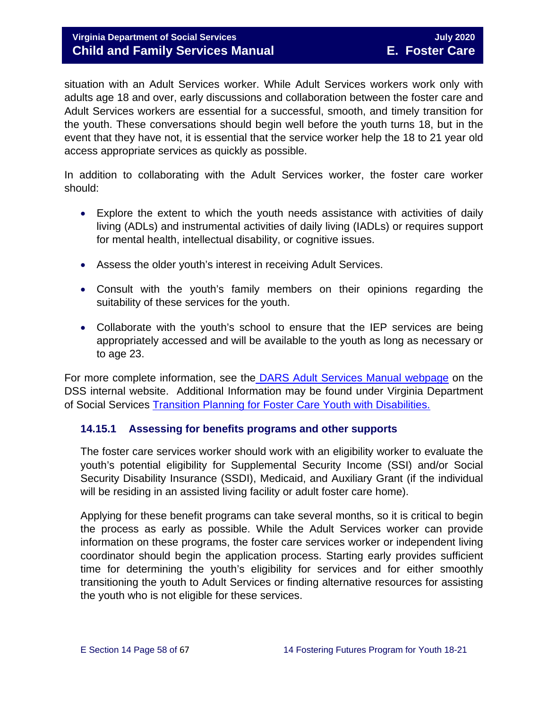#### **Virginia Department of Social Services** July **2020 Child and Family Services Manual E. Foster Care**

situation with an Adult Services worker. While Adult Services workers work only with adults age 18 and over, early discussions and collaboration between the foster care and Adult Services workers are essential for a successful, smooth, and timely transition for the youth. These conversations should begin well before the youth turns 18, but in the event that they have not, it is essential that the service worker help the 18 to 21 year old access appropriate services as quickly as possible.

In addition to collaborating with the Adult Services worker, the foster care worker should:

- Explore the extent to which the youth needs assistance with activities of daily living (ADLs) and instrumental activities of daily living (IADLs) or requires support for mental health, intellectual disability, or cognitive issues.
- Assess the older youth's interest in receiving Adult Services.
- Consult with the youth's family members on their opinions regarding the suitability of these services for the youth.
- Collaborate with the youth's school to ensure that the IEP services are being appropriately accessed and will be available to the youth as long as necessary or to age 23.

For more complete information, see the [DARS Adult Services Manual webpage](https://fusion.dss.virginia.gov/dars/DARS-Home/ADULT-SERVICES/Adult-Services-Manuals) on the DSS internal website. Additional Information may be found under Virginia Department of Social Services [Transition Planning for Foster Care Youth with Disabilities.](https://fusion.dss.virginia.gov/Portals/%5Bdfs%5D/Files/Foster%20Care/Job%20Aids%20%26%20Resources/Strategies%20to%20Support%20A%20Successful%20Transition%20for%20Youth%20with%20Disabilities%20in%20Foster%20Care.pdf) 

#### <span id="page-57-0"></span>**14.15.1 Assessing for benefits programs and other supports**

The foster care services worker should work with an eligibility worker to evaluate the youth's potential eligibility for Supplemental Security Income (SSI) and/or Social Security Disability Insurance (SSDI), Medicaid, and Auxiliary Grant (if the individual will be residing in an assisted living facility or adult foster care home).

Applying for these benefit programs can take several months, so it is critical to begin the process as early as possible. While the Adult Services worker can provide information on these programs, the foster care services worker or independent living coordinator should begin the application process. Starting early provides sufficient time for determining the youth's eligibility for services and for either smoothly transitioning the youth to Adult Services or finding alternative resources for assisting the youth who is not eligible for these services.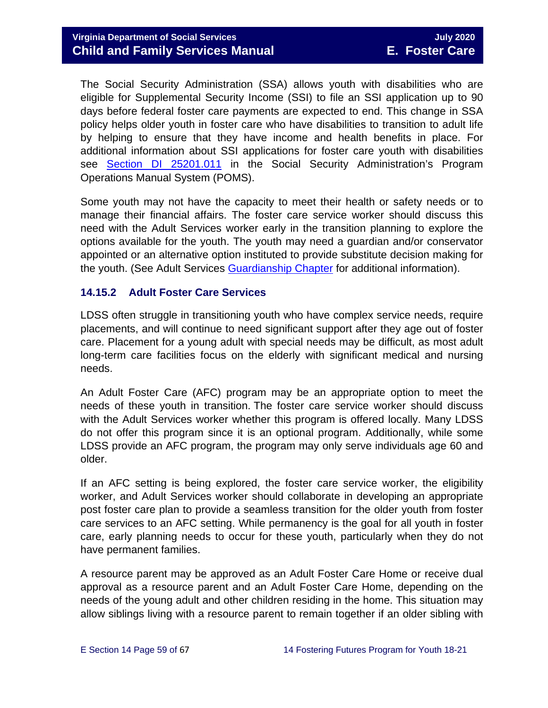The Social Security Administration (SSA) allows youth with disabilities who are eligible for Supplemental Security Income (SSI) to file an SSI application up to 90 days before federal foster care payments are expected to end. This change in SSA policy helps older youth in foster care who have disabilities to transition to adult life by helping to ensure that they have income and health benefits in place. For additional information about SSI applications for foster care youth with disabilities see [Section DI 25201.011](https://secure.ssa.gov/apps10/poms.nsf/subchapterlist!openview&restricttocategory=04252) in the Social Security Administration's Program Operations Manual System (POMS).

Some youth may not have the capacity to meet their health or safety needs or to manage their financial affairs. The foster care service worker should discuss this need with the Adult Services worker early in the transition planning to explore the options available for the youth. The youth may need a guardian and/or conservator appointed or an alternative option instituted to provide substitute decision making for the youth. (See Adult Services [Guardianship Chapter](https://fusion.dss.virginia.gov/Portals/%5Bdars%5D/Files/Chapter%207-Guardianship.pdf) for additional information).

#### <span id="page-58-0"></span>**14.15.2 Adult Foster Care Services**

LDSS often struggle in transitioning youth who have complex service needs, require placements, and will continue to need significant support after they age out of foster care. Placement for a young adult with special needs may be difficult, as most adult long-term care facilities focus on the elderly with significant medical and nursing needs.

An Adult Foster Care (AFC) program may be an appropriate option to meet the needs of these youth in transition. The foster care service worker should discuss with the Adult Services worker whether this program is offered locally. Many LDSS do not offer this program since it is an optional program. Additionally, while some LDSS provide an AFC program, the program may only serve individuals age 60 and older.

If an AFC setting is being explored, the foster care service worker, the eligibility worker, and Adult Services worker should collaborate in developing an appropriate post foster care plan to provide a seamless transition for the older youth from foster care services to an AFC setting. While permanency is the goal for all youth in foster care, early planning needs to occur for these youth, particularly when they do not have permanent families.

A resource parent may be approved as an Adult Foster Care Home or receive dual approval as a resource parent and an Adult Foster Care Home, depending on the needs of the young adult and other children residing in the home. This situation may allow siblings living with a resource parent to remain together if an older sibling with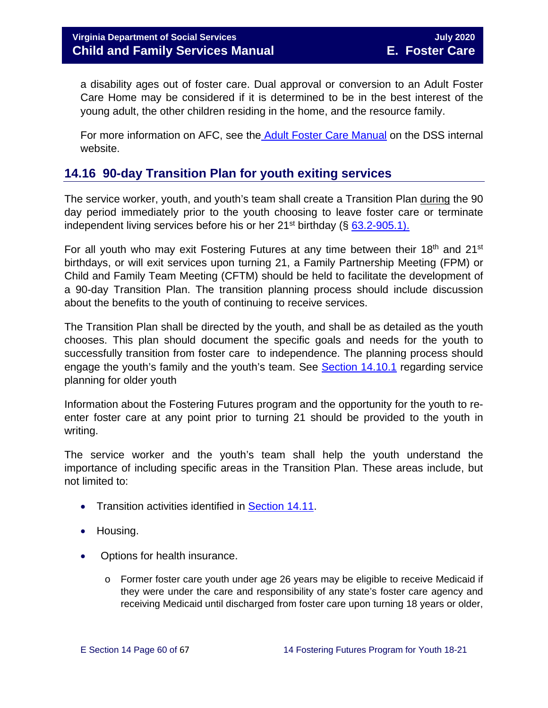a disability ages out of foster care. Dual approval or conversion to an Adult Foster Care Home may be considered if it is determined to be in the best interest of the young adult, the other children residing in the home, and the resource family.

For more information on AFC, see the [Adult Foster Care Manual](https://fusion.dss.virginia.gov/Portals/%5Bdars%5D/Files/Chapter%204-Long-term%20Care%20Services.pdf) on the DSS internal website.

## <span id="page-59-0"></span>**14.16 90-day Transition Plan for youth exiting services**

The service worker, youth, and youth's team shall create a Transition Plan during the 90 day period immediately prior to the youth choosing to leave foster care or terminate independent living services before his or her  $21<sup>st</sup>$  birthday (§ 63.2-905.1).

For all youth who may exit Fostering Futures at any time between their 18<sup>th</sup> and 21<sup>st</sup> birthdays, or will exit services upon turning 21, a Family Partnership Meeting (FPM) or Child and Family Team Meeting (CFTM) should be held to facilitate the development of a 90-day Transition Plan. The transition planning process should include discussion about the benefits to the youth of continuing to receive services.

The Transition Plan shall be directed by the youth, and shall be as detailed as the youth chooses. This plan should document the specific goals and needs for the youth to successfully transition from foster care to independence. The planning process should engage the youth's family and the youth's team. See [Section 14.10.1](#page-44-0) regarding service planning for older youth

Information about the Fostering Futures program and the opportunity for the youth to reenter foster care at any point prior to turning 21 should be provided to the youth in writing.

The service worker and the youth's team shall help the youth understand the importance of including specific areas in the Transition Plan. These areas include, but not limited to:

- Transition activities identified in [Section 14.11.](#page-49-0)
- Housing.
- Options for health insurance.
	- $\circ$  Former foster care youth under age 26 years may be eligible to receive Medicaid if they were under the care and responsibility of any state's foster care agency and receiving Medicaid until discharged from foster care upon turning 18 years or older,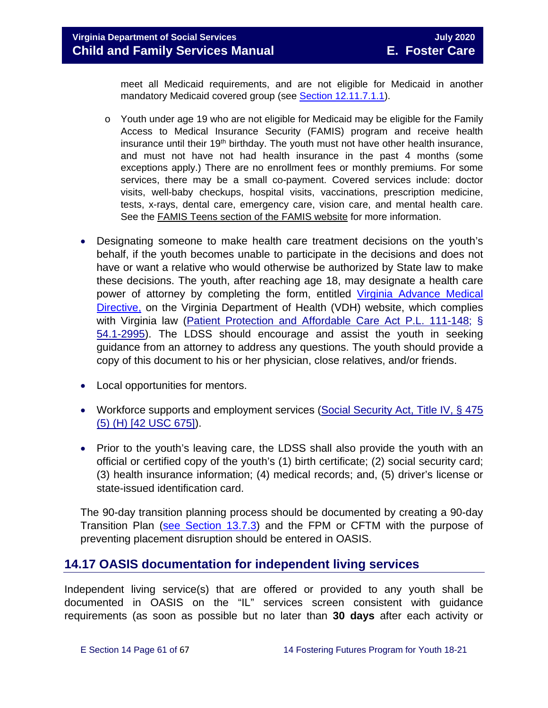meet all Medicaid requirements, and are not eligible for Medicaid in another mandatory Medicaid covered group (see [Section 12.11.7.1.1\)](https://fusion.dss.virginia.gov/Portals/%5Bdfs%5D/Files/Foster%20Care/Job%20Aids%20%26%20Resources/Strategies%20to%20Support%20A%20Successful%20Transition%20for%20Youth%20with%20Disabilities%20in%20Foster%20Care.pdf/section_12_identifying_services_to_be_provided.pdf#page=27).

- o Youth under age 19 who are not eligible for Medicaid may be eligible for the Family Access to Medical Insurance Security (FAMIS) program and receive health insurance until their 19<sup>th</sup> birthday. The youth must not have other health insurance, and must not have not had health insurance in the past 4 months (some exceptions apply.) There are no enrollment fees or monthly premiums. For some services, there may be a small co-payment. Covered services include: doctor visits, well-baby checkups, hospital visits, vaccinations, prescription medicine, tests, x-rays, dental care, emergency care, vision care, and mental health care. See the [FAMIS Teens section of the FAMIS website](http://www.famis.org/teen.cfm?language=English) for more information.
- Designating someone to make health care treatment decisions on the youth's behalf, if the youth becomes unable to participate in the decisions and does not have or want a relative who would otherwise be authorized by State law to make these decisions. The youth, after reaching age 18, may designate a health care power of attorney by completing the form, entitled [Virginia Advance Medical](http://www.vdh.virginia.gov/OLC/documents/2008/pdfs/2005%20advanced%20directive%20form.pdf)  [Directive,](http://www.vdh.virginia.gov/OLC/documents/2008/pdfs/2005%20advanced%20directive%20form.pdf) on the Virginia Department of Health (VDH) website, which complies with Virginia law [\(Patient Protection and Affordable Care Act P.L. 111-148;](http://www.gpo.gov/fdsys/pkg/PLAW-111publ148/pdf/PLAW-111publ148.pdf) § [54.1-2995\)](http://leg1.state.va.us/cgi-bin/legp504.exe?000+cod+54.1-2995). The LDSS should encourage and assist the youth in seeking guidance from an attorney to address any questions. The youth should provide a copy of this document to his or her physician, close relatives, and/or friends.
- Local opportunities for mentors.
- Workforce supports and employment services (Social Security Act, Title IV, § 475 [\(5\) \(H\) \[42 USC 675\]\)](http://www.ssa.gov/OP_Home/ssact/title04/0475.htm).
- Prior to the youth's leaving care, the LDSS shall also provide the youth with an official or certified copy of the youth's (1) birth certificate; (2) social security card; (3) health insurance information; (4) medical records; and, (5) driver's license or state-issued identification card.

The 90-day transition planning process should be documented by creating a 90-day Transition Plan [\(see Section 13.7.3\)](https://fusion.dss.virginia.gov/Portals/%5bdfs%5d/Files/DFS%20Manuals/Foster%20Care%20Manuals/Foster%20Care%20Manual%2007-2020/Final%20Foster%20Care%20Manual%2007-2020/Section_13_achieving_permanency_for_older_youth.pdf#page=20) and the FPM or CFTM with the purpose of preventing placement disruption should be entered in OASIS.

## <span id="page-60-0"></span>**14.17 OASIS documentation for independent living services**

Independent living service(s) that are offered or provided to any youth shall be documented in OASIS on the "IL" services screen consistent with guidance requirements (as soon as possible but no later than **30 days** after each activity or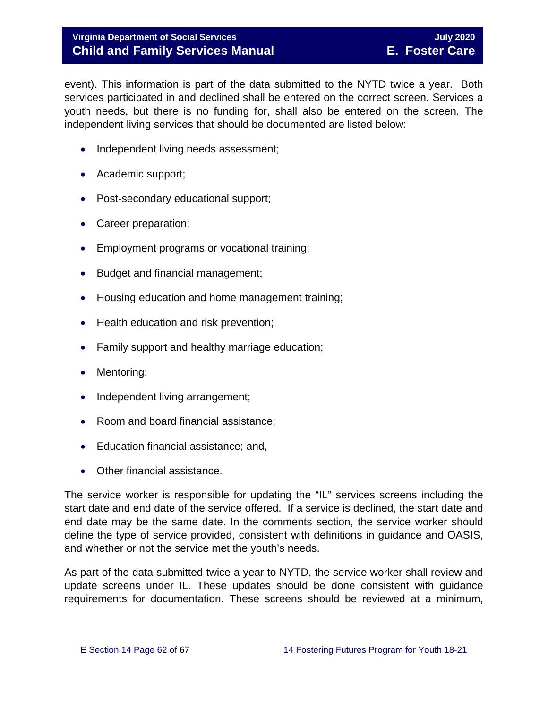#### **Virginia Department of Social Services July 2020 Child and Family Services Manual E. Foster Care**

event). This information is part of the data submitted to the NYTD twice a year. Both services participated in and declined shall be entered on the correct screen. Services a youth needs, but there is no funding for, shall also be entered on the screen. The independent living services that should be documented are listed below:

- Independent living needs assessment;
- Academic support;
- Post-secondary educational support;
- Career preparation;
- Employment programs or vocational training;
- Budget and financial management;
- Housing education and home management training;
- Health education and risk prevention;
- Family support and healthy marriage education;
- Mentoring;
- Independent living arrangement;
- Room and board financial assistance;
- Education financial assistance; and,
- Other financial assistance.

The service worker is responsible for updating the "IL" services screens including the start date and end date of the service offered. If a service is declined, the start date and end date may be the same date. In the comments section, the service worker should define the type of service provided, consistent with definitions in guidance and OASIS, and whether or not the service met the youth's needs.

As part of the data submitted twice a year to NYTD, the service worker shall review and update screens under IL. These updates should be done consistent with guidance requirements for documentation. These screens should be reviewed at a minimum,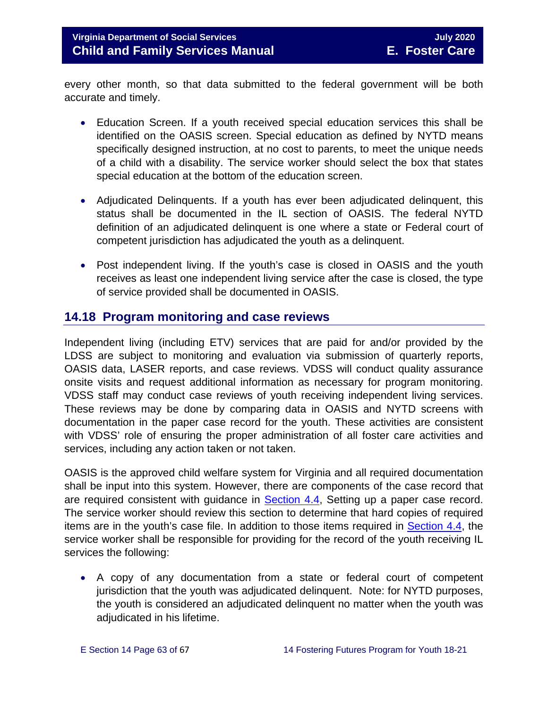every other month, so that data submitted to the federal government will be both accurate and timely.

- Education Screen. If a youth received special education services this shall be identified on the OASIS screen. Special education as defined by NYTD means specifically designed instruction, at no cost to parents, to meet the unique needs of a child with a disability. The service worker should select the box that states special education at the bottom of the education screen.
- Adjudicated Delinquents. If a youth has ever been adjudicated delinquent, this status shall be documented in the IL section of OASIS. The federal NYTD definition of an adjudicated delinquent is one where a state or Federal court of competent jurisdiction has adjudicated the youth as a delinquent.
- Post independent living. If the youth's case is closed in OASIS and the youth receives as least one independent living service after the case is closed, the type of service provided shall be documented in OASIS.

## <span id="page-62-0"></span>**14.18 Program monitoring and case reviews**

Independent living (including ETV) services that are paid for and/or provided by the LDSS are subject to monitoring and evaluation via submission of quarterly reports, OASIS data, LASER reports, and case reviews. VDSS will conduct quality assurance onsite visits and request additional information as necessary for program monitoring. VDSS staff may conduct case reviews of youth receiving independent living services. These reviews may be done by comparing data in OASIS and NYTD screens with documentation in the paper case record for the youth. These activities are consistent with VDSS' role of ensuring the proper administration of all foster care activities and services, including any action taken or not taken.

OASIS is the approved child welfare system for Virginia and all required documentation shall be input into this system. However, there are components of the case record that are required consistent with guidance in **Section 4.4**, Setting up a paper case record. The service worker should review this section to determine that hard copies of required items are in the youth's case file. In addition to those items required in [Section 4.4,](https://fusion.dss.virginia.gov/Portals/%5bdfs%5d/Files/DFS%20Manuals/Foster%20Care%20Manuals/Foster%20Care%20Manual%2007-2020/Final%20Foster%20Care%20Manual%2007-2020/section_4_opening_and_maintaining_case.pdf#page=5) the service worker shall be responsible for providing for the record of the youth receiving IL services the following:

• A copy of any documentation from a state or federal court of competent jurisdiction that the youth was adjudicated delinquent. Note: for NYTD purposes, the youth is considered an adjudicated delinquent no matter when the youth was adjudicated in his lifetime.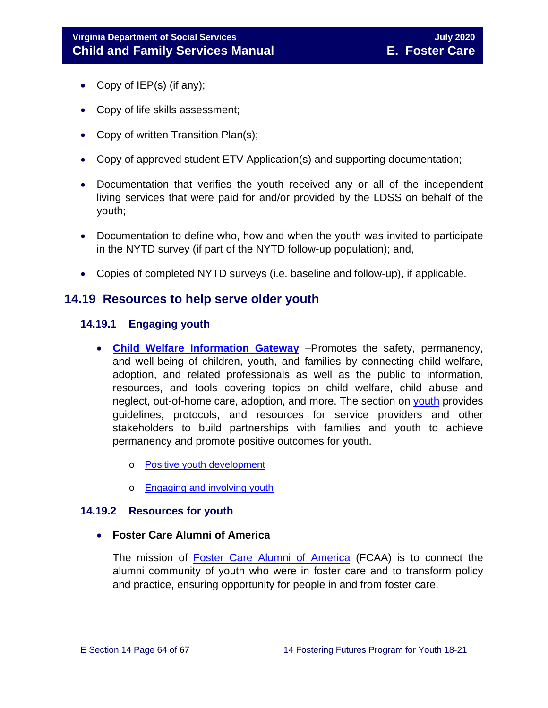- Copy of IEP(s) (if any);
- Copy of life skills assessment;
- Copy of written Transition Plan(s);
- Copy of approved student ETV Application(s) and supporting documentation;
- Documentation that verifies the youth received any or all of the independent living services that were paid for and/or provided by the LDSS on behalf of the youth;
- Documentation to define who, how and when the youth was invited to participate in the NYTD survey (if part of the NYTD follow-up population); and,
- Copies of completed NYTD surveys (i.e. baseline and follow-up), if applicable.

### <span id="page-63-0"></span>**14.19 Resources to help serve older youth**

#### <span id="page-63-1"></span>**14.19.1 Engaging youth**

- **[Child Welfare Information Gateway](https://www.childwelfare.gov/)** –Promotes the safety, permanency, and well-being of children, youth, and families by connecting child welfare, adoption, and related professionals as well as the public to information, resources, and tools covering topics on child welfare, child abuse and neglect, out-of-home care, adoption, and more. The section on [youth](https://www.childwelfare.gov/topics/systemwide/youth/) provides guidelines, protocols, and resources for service providers and other stakeholders to build partnerships with families and youth to achieve permanency and promote positive outcomes for youth.
	- o [Positive youth development](https://www.childwelfare.gov/topics/systemwide/youth/development/)
	- o [Engaging and involving youth](https://www.childwelfare.gov/topics/systemwide/youth/engagingyouth/)

#### <span id="page-63-2"></span>**14.19.2 Resources for youth**

• **Foster Care Alumni of America**

The mission of [Foster Care Alumni of America](http://www.fostercarealumni.org/) (FCAA) is to connect the alumni community of youth who were in foster care and to transform policy and practice, ensuring opportunity for people in and from foster care.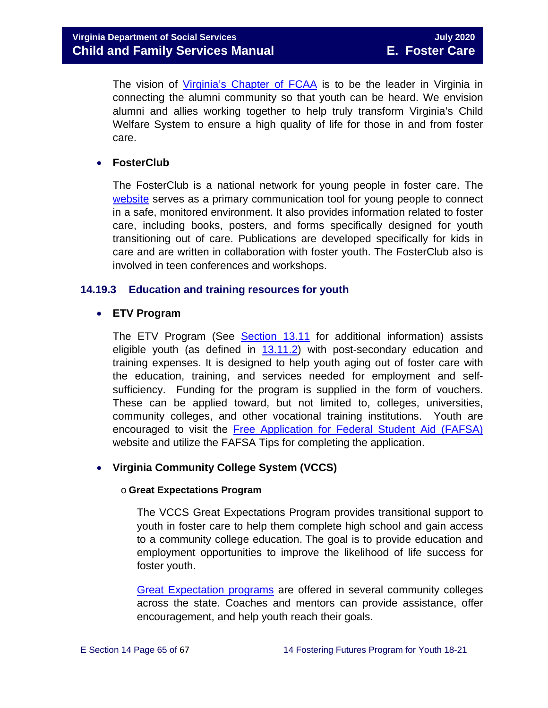The vision of [Virginia's Chapter of FCAA](http://www.fostercarealumni.org/virginia-chapter/) is to be the leader in Virginia in connecting the alumni community so that youth can be heard. We envision alumni and allies working together to help truly transform Virginia's Child Welfare System to ensure a high quality of life for those in and from foster care.

#### • **FosterClub**

The FosterClub is a national network for young people in foster care. The [website](http://www.fosterclub.com/) serves as a primary communication tool for young people to connect in a safe, monitored environment. It also provides information related to foster care, including books, posters, and forms specifically designed for youth transitioning out of care. Publications are developed specifically for kids in care and are written in collaboration with foster youth. The FosterClub also is involved in teen conferences and workshops.

#### <span id="page-64-0"></span>**14.19.3 Education and training resources for youth**

#### • **ETV Program**

The ETV Program (See [Section](https://fusion.dss.virginia.gov/Portals/%5bdfs%5d/Files/DFS%20Manuals/Foster%20Care%20Manuals/Foster%20Care%20Manual%2007-2020/Final%20Foster%20Care%20Manual%2007-2020/Section_13_achieving_permanency_for_older_youth.pdf#page=26) 13.11 for additional information) assists eligible youth (as defined in [13.11.2\)](https://fusion.dss.virginia.gov/Portals/%5bdfs%5d/Files/DFS%20Manuals/Foster%20Care%20Manuals/Foster%20Care%20Manual%2007-2020/Final%20Foster%20Care%20Manual%2007-2020/Section_13_achieving_permanency_for_older_youth.pdf#page=27) with post-secondary education and training expenses. It is designed to help youth aging out of foster care with the education, training, and services needed for employment and selfsufficiency. Funding for the program is supplied in the form of vouchers. These can be applied toward, but not limited to, colleges, universities, community colleges, and other vocational training institutions. Youth are encouraged to visit the [Free Application for Federal Student Aid \(FAFSA\)](http://www.fafsa.ed.gov/) website and utilize the FAFSA Tips for completing the application.

#### • **Virginia Community College System (VCCS)**

#### o **Great Expectations Program**

The VCCS Great Expectations Program provides transitional support to youth in foster care to help them complete high school and gain access to a community college education. The goal is to provide education and employment opportunities to improve the likelihood of life success for foster youth.

[Great Expectation programs](http://greatexpectations.vccs.edu/) are offered in several community colleges across the state. Coaches and mentors can provide assistance, offer encouragement, and help youth reach their goals.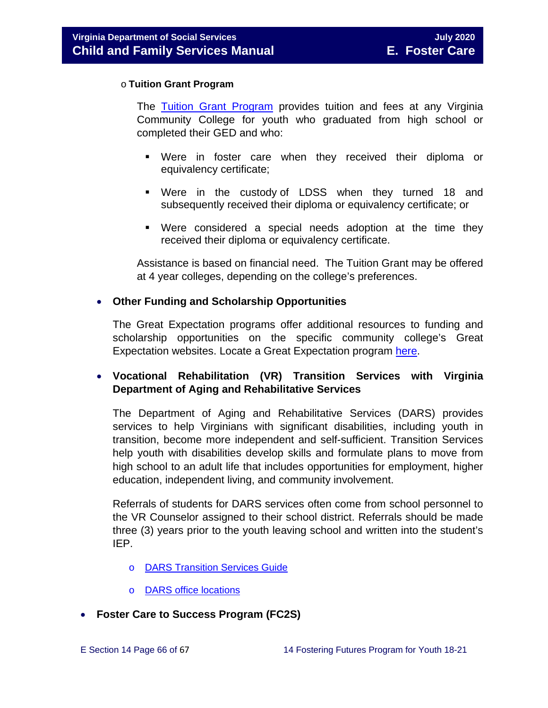#### o **Tuition Grant Program**

The [Tuition Grant Program](http://cdn.vccs.edu/wp-content/uploads/2013/07/vatutiongrantflyer.pdf) provides tuition and fees at any Virginia Community College for youth who graduated from high school or completed their GED and who:

- Were in foster care when they received their diploma or equivalency certificate;
- Were in the custody of LDSS when they turned 18 and subsequently received their diploma or equivalency certificate; or
- Were considered a special needs adoption at the time they received their diploma or equivalency certificate.

Assistance is based on financial need. The Tuition Grant may be offered at 4 year colleges, depending on the college's preferences.

#### • **Other Funding and Scholarship Opportunities**

The Great Expectation programs offer additional resources to funding and scholarship opportunities on the specific community college's Great Expectation websites. Locate a Great Expectation program [here.](http://greatexpectations.vccs.edu/find-a-college/)

#### • **Vocational Rehabilitation (VR) Transition Services with Virginia Department of Aging and Rehabilitative Services**

The Department of Aging and Rehabilitative Services (DARS) provides services to help Virginians with significant disabilities, including youth in transition, become more independent and self-sufficient. Transition Services help youth with disabilities develop skills and formulate plans to move from high school to an adult life that includes opportunities for employment, higher education, independent living, and community involvement.

Referrals of students for DARS services often come from school personnel to the VR Counselor assigned to their school district. Referrals should be made three (3) years prior to the youth leaving school and written into the student's IEP.

- o [DARS Transition Services Guide](http://www.vadrs.org/transitionservices.htm)
- o [DARS office locations](http://www.vadrs.org/offices.aspx)
- **Foster Care to Success Program (FC2S)**